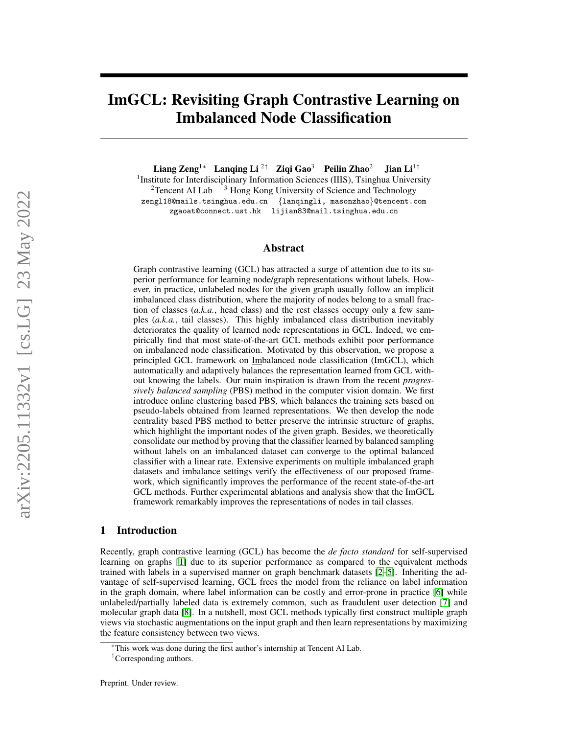# <span id="page-0-0"></span>ImGCL: Revisiting Graph Contrastive Learning on Imbalanced Node Classification

Liang Zeng<sup>1∗</sup> Lanqing Li<sup>2†</sup> Ziqi Gao<sup>3</sup> Peilin Zhao<sup>2</sup> Jian Li<sup>1†</sup>

<sup>1</sup> Institute for Interdisciplinary Information Sciences (IIIS), Tsinghua University <sup>2</sup>Tencent AI Lab  $3$  Hong Kong University of Science and Technology zengl18@mails.tsinghua.edu.cn {lanqingli, masonzhao}@tencent.com zgaoat@connect.ust.hk lijian83@mail.tsinghua.edu.cn

#### Abstract

Graph contrastive learning (GCL) has attracted a surge of attention due to its superior performance for learning node/graph representations without labels. However, in practice, unlabeled nodes for the given graph usually follow an implicit imbalanced class distribution, where the majority of nodes belong to a small fraction of classes (*a.k.a.*, head class) and the rest classes occupy only a few samples (*a.k.a.*, tail classes). This highly imbalanced class distribution inevitably deteriorates the quality of learned node representations in GCL. Indeed, we empirically find that most state-of-the-art GCL methods exhibit poor performance on imbalanced node classification. Motivated by this observation, we propose a principled GCL framework on Imbalanced node classification (ImGCL), which automatically and adaptively balances the representation learned from GCL without knowing the labels. Our main inspiration is drawn from the recent *progressively balanced sampling* (PBS) method in the computer vision domain. We first introduce online clustering based PBS, which balances the training sets based on pseudo-labels obtained from learned representations. We then develop the node centrality based PBS method to better preserve the intrinsic structure of graphs, which highlight the important nodes of the given graph. Besides, we theoretically consolidate our method by proving that the classifier learned by balanced sampling without labels on an imbalanced dataset can converge to the optimal balanced classifier with a linear rate. Extensive experiments on multiple imbalanced graph datasets and imbalance settings verify the effectiveness of our proposed framework, which significantly improves the performance of the recent state-of-the-art GCL methods. Further experimental ablations and analysis show that the ImGCL framework remarkably improves the representations of nodes in tail classes.

# 1 Introduction

Recently, graph contrastive learning (GCL) has become the *de facto standard* for self-supervised learning on graphs [\[1\]](#page-9-0) due to its superior performance as compared to the equivalent methods trained with labels in a supervised manner on graph benchmark datasets [\[2–](#page-9-1)[5\]](#page-9-2). Inheriting the advantage of self-supervised learning, GCL frees the model from the reliance on label information in the graph domain, where label information can be costly and error-prone in practice [\[6\]](#page-9-3) while unlabeled/partially labeled data is extremely common, such as fraudulent user detection [\[7\]](#page-9-4) and molecular graph data [\[8\]](#page-9-5). In a nutshell, most GCL methods typically first construct multiple graph views via stochastic augmentations on the input graph and then learn representations by maximizing the feature consistency between two views.

<sup>∗</sup>This work was done during the first author's internship at Tencent AI Lab.

<sup>†</sup>Corresponding authors.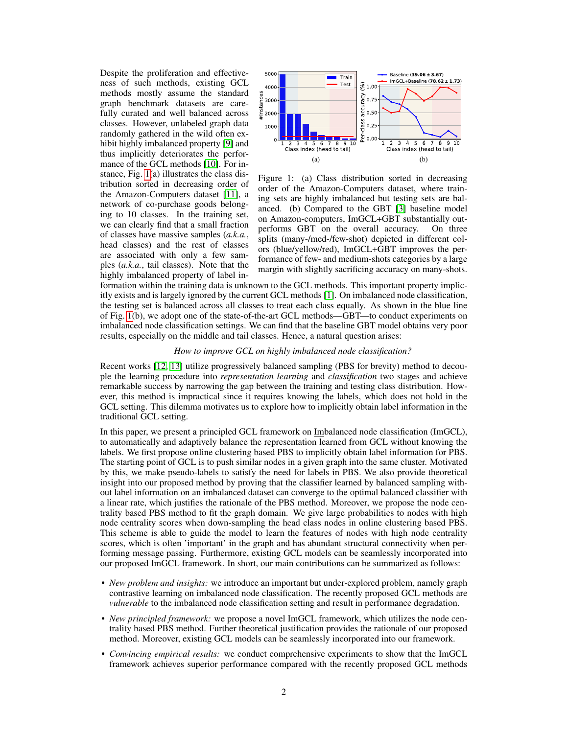Despite the proliferation and effectiveness of such methods, existing GCL methods mostly assume the standard graph benchmark datasets are carefully curated and well balanced across classes. However, unlabeled graph data randomly gathered in the wild often exhibit highly imbalanced property [\[9\]](#page-9-7) and thus implicitly deteriorates the performance of the GCL methods [\[10\]](#page-9-8). For instance, Fig. [1\(](#page-1-0)a) illustrates the class distribution sorted in decreasing order of the Amazon-Computers dataset [\[11\]](#page-9-9), a network of co-purchase goods belonging to 10 classes. In the training set, we can clearly find that a small fraction of classes have massive samples (*a.k.a.*, head classes) and the rest of classes are associated with only a few samples (*a.k.a.*, tail classes). Note that the highly imbalanced property of label in-



<span id="page-1-0"></span>Figure 1: (a) Class distribution sorted in decreasing order of the Amazon-Computers dataset, where training sets are highly imbalanced but testing sets are balanced. (b) Compared to the GBT [\[3\]](#page-9-6) baseline model on Amazon-computers, ImGCL+GBT substantially outperforms GBT on the overall accuracy. On three splits (many-/med-/few-shot) depicted in different colors (blue/yellow/red), ImGCL+GBT improves the performance of few- and medium-shots categories by a large margin with slightly sacrificing accuracy on many-shots.

formation within the training data is unknown to the GCL methods. This important property implicitly exists and is largely ignored by the current GCL methods [\[1\]](#page-9-0). On imbalanced node classification, the testing set is balanced across all classes to treat each class equally. As shown in the blue line of Fig. [1\(](#page-1-0)b), we adopt one of the state-of-the-art GCL methods—GBT—to conduct experiments on imbalanced node classification settings. We can find that the baseline GBT model obtains very poor results, especially on the middle and tail classes. Hence, a natural question arises:

#### *How to improve GCL on highly imbalanced node classification?*

Recent works [\[12,](#page-9-10) [13\]](#page-9-11) utilize progressively balanced sampling (PBS for brevity) method to decouple the learning procedure into *representation learning* and *classification* two stages and achieve remarkable success by narrowing the gap between the training and testing class distribution. However, this method is impractical since it requires knowing the labels, which does not hold in the GCL setting. This dilemma motivates us to explore how to implicitly obtain label information in the traditional GCL setting.

In this paper, we present a principled GCL framework on Imbalanced node classification (ImGCL), to automatically and adaptively balance the representation learned from GCL without knowing the labels. We first propose online clustering based PBS to implicitly obtain label information for PBS. The starting point of GCL is to push similar nodes in a given graph into the same cluster. Motivated by this, we make pseudo-labels to satisfy the need for labels in PBS. We also provide theoretical insight into our proposed method by proving that the classifier learned by balanced sampling without label information on an imbalanced dataset can converge to the optimal balanced classifier with a linear rate, which justifies the rationale of the PBS method. Moreover, we propose the node centrality based PBS method to fit the graph domain. We give large probabilities to nodes with high node centrality scores when down-sampling the head class nodes in online clustering based PBS. This scheme is able to guide the model to learn the features of nodes with high node centrality scores, which is often 'important' in the graph and has abundant structural connectivity when performing message passing. Furthermore, existing GCL models can be seamlessly incorporated into our proposed ImGCL framework. In short, our main contributions can be summarized as follows:

- *New problem and insights:* we introduce an important but under-explored problem, namely graph contrastive learning on imbalanced node classification. The recently proposed GCL methods are *vulnerable* to the imbalanced node classification setting and result in performance degradation.
- *New principled framework:* we propose a novel ImGCL framework, which utilizes the node centrality based PBS method. Further theoretical justification provides the rationale of our proposed method. Moreover, existing GCL models can be seamlessly incorporated into our framework.
- *Convincing empirical results:* we conduct comprehensive experiments to show that the ImGCL framework achieves superior performance compared with the recently proposed GCL methods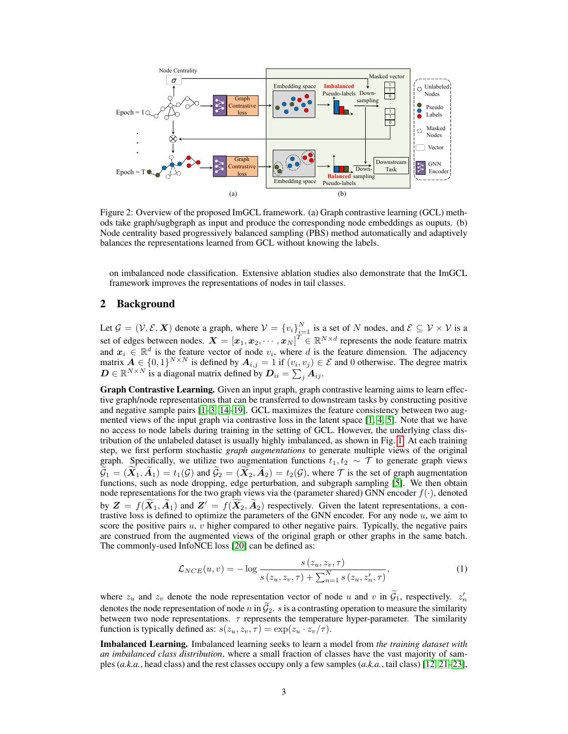

<span id="page-2-0"></span>Figure 2: Overview of the proposed ImGCL framework. (a) Graph contrastive learning (GCL) methods take graph/sugbgraph as input and produce the corresponding node embeddings as ouputs. (b) Node centrality based progressively balanced sampling (PBS) method automatically and adaptively balances the representations learned from GCL without knowing the labels.

on imbalanced node classification. Extensive ablation studies also demonstrate that the ImGCL framework improves the representations of nodes in tail classes.

## 2 Background

Let  $\mathcal{G} = (\mathcal{V}, \mathcal{E}, \mathbf{X})$  denote a graph, where  $\mathcal{V} = \{v_i\}_{i=1}^N$  is a set of N nodes, and  $\mathcal{E} \subseteq \mathcal{V} \times \mathcal{V}$  is a set of edges between nodes.  $\bm{X} = [\bm{x}_1, \bm{x}_2, \cdots, \bm{x}_N]^T \in \mathbb{R}^{N \times d}$  represents the node feature matrix and  $x_i \in \mathbb{R}^d$  is the feature vector of node  $v_i$ , where d is the feature dimension. The adjacency matrix  $A \in \{0,1\}^{N \times N}$  is defined by  $A_{i,j} = 1$  if  $(v_i, v_j) \in \mathcal{E}$  and 0 otherwise. The degree matrix  $D \in \mathbb{R}^{N \times N}$  is a diagonal matrix defined by  $D_{ii} = \sum_j A_{ij}$ .

Graph Contrastive Learning. Given an input graph, graph contrastive learning aims to learn effective graph/node representations that can be transferred to downstream tasks by constructing positive and negative sample pairs [\[1–](#page-9-0)[3,](#page-9-6) [14–](#page-10-0)[19\]](#page-10-1). GCL maximizes the feature consistency between two augmented views of the input graph via contrastive loss in the latent space [\[1,](#page-9-0) [4,](#page-9-12) [5\]](#page-9-2). Note that we have no access to node labels during training in the setting of GCL. However, the underlying class distribution of the unlabeled dataset is usually highly imbalanced, as shown in Fig. [1.](#page-1-0) At each training step, we first perform stochastic *graph augmentations* to generate multiple views of the original graph. Specifically, we utilize two augmentation functions  $t_1, t_2 \sim \mathcal{T}$  to generate graph views  $G_1 = (X_1, A_1) = t_1(\mathcal{G})$  and  $G_2 = (X_2, A_2) = t_2(\mathcal{G})$ , where  $\mathcal{T}$  is the set of graph augmentation functions, such as node dropping, edge perturbation, and subgraph sampling [\[5\]](#page-9-2). We then obtain node representations for the two graph views via the (parameter shared) GNN encoder  $f(\cdot)$ , denoted by  $\mathbf{Z} = f(\mathbf{X}_1, \mathbf{A}_1)$  and  $\mathbf{Z}' = f(\mathbf{X}_2, \mathbf{A}_2)$  respectively. Given the latent representations, a contrastive loss is defined to optimize the parameters of the GNN encoder. For any node  $u$ , we aim to score the positive pairs  $u, v$  higher compared to other negative pairs. Typically, the negative pairs are construed from the augmented views of the original graph or other graphs in the same batch. The commonly-used InfoNCE loss [\[20\]](#page-10-2) can be defined as:

$$
\mathcal{L}_{NCE}(u, v) = -\log \frac{s(z_u, z_v, \tau)}{s(z_u, z_v, \tau) + \sum_{n=1}^{N} s(z_u, z'_n, \tau)},
$$
\n(1)

where  $z_u$  and  $z_v$  denote the node representation vector of node u and v in  $\tilde{G}_1$ , respectively.  $z'_n$ denotes the node representation of node n in  $\mathcal{G}_2$ . s is a contrasting operation to measure the similarity between two node representations.  $\tau$  represents the temperature hyper-parameter. The similarity function is typically defined as:  $s(z_u, z_v, \tau) = \exp(z_u \cdot z_v/\tau)$ .

Imbalanced Learning. Imbalanced learning seeks to learn a model from *the training dataset with an imbalanced class distribution*, where a small fraction of classes have the vast majority of samples (*a.k.a.*, head class) and the rest classes occupy only a few samples (*a.k.a.*, tail class) [\[12,](#page-9-10) [21](#page-10-3)[–23\]](#page-10-4),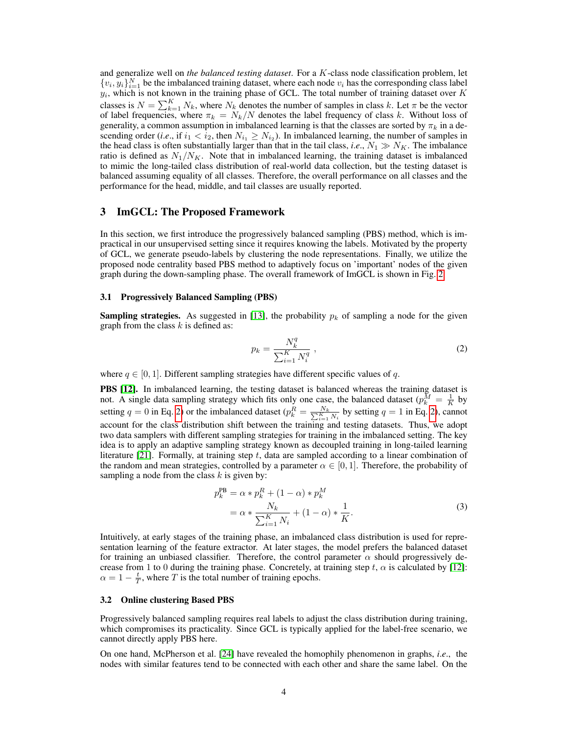and generalize well on *the balanced testing dataset*. For a K-class node classification problem, let  $\{v_i, y_i\}_{i=1}^N$  be the imbalanced training dataset, where each node  $v_i$  has the corresponding class label  $y_i$ , which is not known in the training phase of GCL. The total number of training dataset over K classes is  $N = \sum_{k=1}^{K} N_k$ , where  $N_k$  denotes the number of samples in class k. Let  $\pi$  be the vector of label frequencies, where  $\pi_k = N_k/N$  denotes the label frequency of class k. Without loss of generality, a common assumption in imbalanced learning is that the classes are sorted by  $\pi_k$  in a descending order (*i.e.*, if  $i_1 < i_2$ , then  $N_{i_1} \ge N_{i_2}$ ). In imbalanced learning, the number of samples in the head class is often substantially larger than that in the tail class, *i.e.*,  $N_1 \gg N_K$ . The imbalance ratio is defined as  $N_1/N_K$ . Note that in imbalanced learning, the training dataset is imbalanced to mimic the long-tailed class distribution of real-world data collection, but the testing dataset is balanced assuming equality of all classes. Therefore, the overall performance on all classes and the performance for the head, middle, and tail classes are usually reported.

#### 3 ImGCL: The Proposed Framework

In this section, we first introduce the progressively balanced sampling (PBS) method, which is impractical in our unsupervised setting since it requires knowing the labels. Motivated by the property of GCL, we generate pseudo-labels by clustering the node representations. Finally, we utilize the proposed node centrality based PBS method to adaptively focus on 'important' nodes of the given graph during the down-sampling phase. The overall framework of ImGCL is shown in Fig. [2.](#page-2-0)

#### 3.1 Progressively Balanced Sampling (PBS)

**Sampling strategies.** As suggested in [\[13\]](#page-9-11), the probability  $p_k$  of sampling a node for the given graph from the class  $k$  is defined as:

<span id="page-3-0"></span>
$$
p_k = \frac{N_k^q}{\sum_{i=1}^K N_i^q} \,,\tag{2}
$$

where  $q \in [0, 1]$ . Different sampling strategies have different specific values of q.

PBS [\[12\]](#page-9-10). In imbalanced learning, the testing dataset is balanced whereas the training dataset is not. A single data sampling strategy which fits only one case, the balanced dataset  $(p_k^{\bar{M}} = \frac{1}{K}$  by setting  $q = 0$  in Eq. [2\)](#page-3-0) or the imbalanced dataset  $(p_k^R = \frac{N_k}{\sum_{i=1}^K N_i}$  by setting  $q = 1$  in Eq. 2), cannot account for the class distribution shift between the training and testing datasets. Thus, we adopt two data samplers with different sampling strategies for training in the imbalanced setting. The key idea is to apply an adaptive sampling strategy known as decoupled training in long-tailed learning literature  $[21]$ . Formally, at training step t, data are sampled according to a linear combination of the random and mean strategies, controlled by a parameter  $\alpha \in [0, 1]$ . Therefore, the probability of sampling a node from the class  $k$  is given by:

$$
p_k^{\text{PB}} = \alpha * p_k^R + (1 - \alpha) * p_k^M
$$
  
=  $\alpha * \frac{N_k}{\sum_{i=1}^K N_i} + (1 - \alpha) * \frac{1}{K}.$  (3)

Intuitively, at early stages of the training phase, an imbalanced class distribution is used for representation learning of the feature extractor. At later stages, the model prefers the balanced dataset for training an unbiased classifier. Therefore, the control parameter  $\alpha$  should progressively decrease from 1 to 0 during the training phase. Concretely, at training step t,  $\alpha$  is calculated by [\[12\]](#page-9-10):  $\alpha = 1 - \frac{t}{T}$ , where T is the total number of training epochs.

#### 3.2 Online clustering Based PBS

Progressively balanced sampling requires real labels to adjust the class distribution during training, which compromises its practicality. Since GCL is typically applied for the label-free scenario, we cannot directly apply PBS here.

On one hand, McPherson et al. [\[24\]](#page-10-5) have revealed the homophily phenomenon in graphs, *i*.*e*., the nodes with similar features tend to be connected with each other and share the same label. On the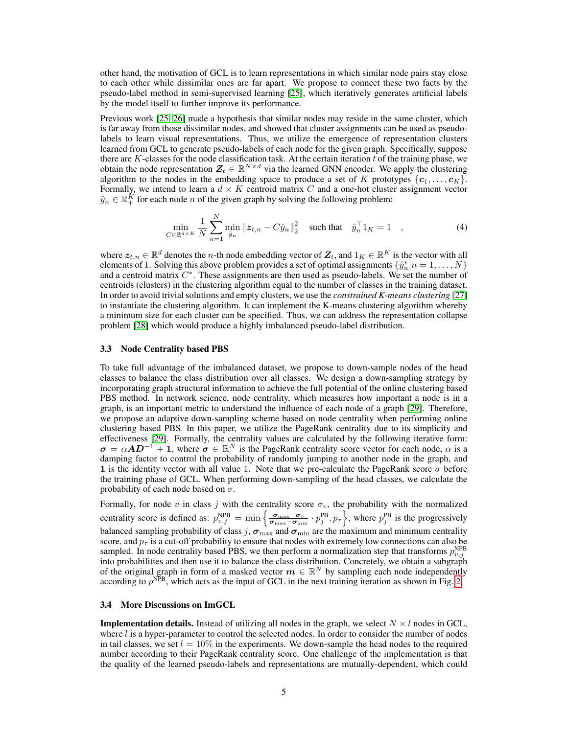other hand, the motivation of GCL is to learn representations in which similar node pairs stay close to each other while dissimilar ones are far apart. We propose to connect these two facts by the pseudo-label method in semi-supervised learning [\[25\]](#page-10-6), which iteratively generates artificial labels by the model itself to further improve its performance.

Previous work [\[25,](#page-10-6) [26\]](#page-10-7) made a hypothesis that similar nodes may reside in the same cluster, which is far away from those dissimilar nodes, and showed that cluster assignments can be used as pseudolabels to learn visual representations. Thus, we utilize the emergence of representation clusters learned from GCL to generate pseudo-labels of each node for the given graph. Specifically, suppose there are  $K$ -classes for the node classification task. At the certain iteration  $t$  of the training phase, we obtain the node representation  $\mathbf{Z}_t \in \mathbb{R}^{N \times d}$  via the learned GNN encoder. We apply the clustering algorithm to the nodes in the embedding space to produce a set of K prototypes  $\{c_1, \ldots, c_K\}$ . Formally, we intend to learn a  $d \times K$  centroid matrix C and a one-hot cluster assignment vector  $\hat{y}_n \in \mathbb{R}_+^K$  for each node n of the given graph by solving the following problem:

$$
\min_{C \in \mathbb{R}^{d \times K}} \frac{1}{N} \sum_{n=1}^{N} \min_{\hat{y}_n} ||z_{t,n} - C\hat{y}_n||_2^2 \quad \text{such that} \quad \hat{y}_n^\top 1_K = 1 \quad , \tag{4}
$$

where  $\bm{z}_{t,n} \in \mathbb{R}^d$  denotes the *n*-th node embedding vector of  $\mathbf{Z}_t$ , and  $\mathbb{1}_K \in \mathbb{R}^K$  is the vector with all elements of 1. Solving this above problem provides a set of optimal assignments  $\{\hat{y}_n^*|n=1,\ldots,N\}$ and a centroid matrix  $C^*$ . These assignments are then used as pseudo-labels. We set the number of centroids (clusters) in the clustering algorithm equal to the number of classes in the training dataset. In order to avoid trivial solutions and empty clusters, we use the *constrained K-means clustering* [\[27\]](#page-10-8) to instantiate the clustering algorithm. It can implement the K-means clustering algorithm whereby a minimum size for each cluster can be specified. Thus, we can address the representation collapse problem [\[28\]](#page-10-9) which would produce a highly imbalanced pseudo-label distribution.

#### 3.3 Node Centrality based PBS

To take full advantage of the imbalanced dataset, we propose to down-sample nodes of the head classes to balance the class distribution over all classes. We design a down-sampling strategy by incorporating graph structural information to achieve the full potential of the online clustering based PBS method. In network science, node centrality, which measures how important a node is in a graph, is an important metric to understand the influence of each node of a graph [\[29\]](#page-10-10). Therefore, we propose an adaptive down-sampling scheme based on node centrality when performing online clustering based PBS. In this paper, we utilize the PageRank centrality due to its simplicity and effectiveness [\[29\]](#page-10-10). Formally, the centrality values are calculated by the following iterative form:  $\sigma = \alpha AD^{-1} + 1$ , where  $\sigma \in \mathbb{R}^N$  is the PageRank centrality score vector for each node,  $\alpha$  is a damping factor to control the probability of randomly jumping to another node in the graph, and 1 is the identity vector with all value 1. Note that we pre-calculate the PageRank score  $\sigma$  before the training phase of GCL. When performing down-sampling of the head classes, we calculate the probability of each node based on  $\sigma$ .

Formally, for node v in class j with the centrality score  $\sigma_v$ , the probability with the normalized centrality score is defined as:  $p_{v,j}^{\text{NPB}} = \min \left\{ \frac{\sigma_{\text{max}} - \sigma_v}{\sigma_{\text{max}} - \sigma_{\text{min}}} \cdot p_j^{\text{PB}}, p_\tau \right\}$ , where  $p_j^{\text{PB}}$  is the progressively balanced sampling probability of class j,  $\sigma_{\text{max}}$  and  $\sigma_{\text{min}}$  are the maximum and minimum centrality score, and  $p<sub>T</sub>$  is a cut-off probability to ensure that nodes with extremely low connections can also be sampled. In node centrality based PBS, we then perform a normalization step that transforms  $p_{v,j}^{\text{NPB}}$ into probabilities and then use it to balance the class distribution. Concretely, we obtain a subgraph of the original graph in form of a masked vector  $m \in \mathbb{R}^N$  by sampling each node independently according to  $p<sup>NPB</sup>$ , which acts as the input of GCL in the next training iteration as shown in Fig. [2.](#page-2-0)

#### 3.4 More Discussions on ImGCL

**Implementation details.** Instead of utilizing all nodes in the graph, we select  $N \times l$  nodes in GCL, where  $l$  is a hyper-parameter to control the selected nodes. In order to consider the number of nodes in tail classes, we set  $l = 10\%$  in the experiments. We down-sample the head nodes to the required number according to their PageRank centrality score. One challenge of the implementation is that the quality of the learned pseudo-labels and representations are mutually-dependent, which could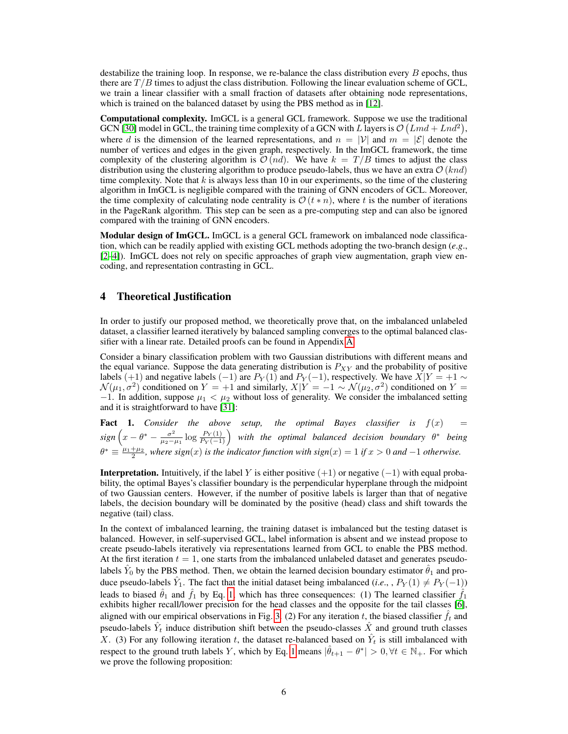destabilize the training loop. In response, we re-balance the class distribution every  $B$  epochs, thus there are  $T/B$  times to adjust the class distribution. Following the linear evaluation scheme of GCL, we train a linear classifier with a small fraction of datasets after obtaining node representations, which is trained on the balanced dataset by using the PBS method as in [\[12\]](#page-9-10).

Computational complexity. ImGCL is a general GCL framework. Suppose we use the traditional GCN [\[30\]](#page-10-11) model in GCL, the training time complexity of a GCN with L layers is  $\mathcal{O}(Lmd+Lnd^2)$ , where d is the dimension of the learned representations, and  $n = |\mathcal{V}|$  and  $m = |\mathcal{E}|$  denote the number of vertices and edges in the given graph, respectively. In the ImGCL framework, the time complexity of the clustering algorithm is  $\mathcal{O}(nd)$ . We have  $k = T/B$  times to adjust the class distribution using the clustering algorithm to produce pseudo-labels, thus we have an extra  $\mathcal{O}(knd)$ time complexity. Note that  $k$  is always less than 10 in our experiments, so the time of the clustering algorithm in ImGCL is negligible compared with the training of GNN encoders of GCL. Moreover, the time complexity of calculating node centrality is  $\mathcal{O}(t * n)$ , where t is the number of iterations in the PageRank algorithm. This step can be seen as a pre-computing step and can also be ignored compared with the training of GNN encoders.

Modular design of ImGCL. ImGCL is a general GCL framework on imbalanced node classification, which can be readily applied with existing GCL methods adopting the two-branch design (*e*.*g*., [\[2](#page-9-1)[–4\]](#page-9-12)). ImGCL does not rely on specific approaches of graph view augmentation, graph view encoding, and representation contrasting in GCL.

# 4 Theoretical Justification

In order to justify our proposed method, we theoretically prove that, on the imbalanced unlabeled dataset, a classifier learned iteratively by balanced sampling converges to the optimal balanced classifier with a linear rate. Detailed proofs can be found in Appendix [A.](#page-12-0)

Consider a binary classification problem with two Gaussian distributions with different means and the equal variance. Suppose the data generating distribution is  $P_{XY}$  and the probability of positive labels (+1) and negative labels (-1) are  $P_Y(1)$  and  $P_Y(-1)$ , respectively. We have  $X|Y = +1 \sim$  $\mathcal{N}(\mu_1, \sigma^2)$  conditioned on  $Y = +1$  and similarly,  $X|Y = -1 \sim \mathcal{N}(\mu_2, \sigma^2)$  conditioned on  $Y =$ −1. In addition, suppose  $\mu_1 < \mu_2$  without loss of generality. We consider the imbalanced setting and it is straightforward to have [\[31\]](#page-11-0):

<span id="page-5-0"></span>**Fact 1.** Consider the above setup, the optimal Bayes classifier is  $f(x) =$  $sign(x - \theta^* - \frac{\sigma^2}{\mu}$  $\frac{\sigma^2}{\mu_2-\mu_1} \log \frac{P_Y(1)}{P_Y(-1)}$  with the optimal balanced decision boundary  $\theta^*$  being  $\theta^* \equiv \frac{\mu_1 + \mu_2}{2}$ , where sign(x) is the indicator function with sign(x) = 1 if x > 0 and -1 otherwise.

**Interpretation.** Intuitively, if the label Y is either positive  $(+1)$  or negative  $(-1)$  with equal probability, the optimal Bayes's classifier boundary is the perpendicular hyperplane through the midpoint of two Gaussian centers. However, if the number of positive labels is larger than that of negative labels, the decision boundary will be dominated by the positive (head) class and shift towards the negative (tail) class.

In the context of imbalanced learning, the training dataset is imbalanced but the testing dataset is balanced. However, in self-supervised GCL, label information is absent and we instead propose to create pseudo-labels iteratively via representations learned from GCL to enable the PBS method. At the first iteration  $t = 1$ , one starts from the imbalanced unlabeled dataset and generates pseudolabels  $\hat{Y}_0$  by the PBS method. Then, we obtain the learned decision boundary estimator  $\hat{\theta}_1$  and produce pseudo-labels  $\hat{Y}_1$ . The fact that the initial dataset being imbalanced (*i.e.*, ,  $P_Y(1) \neq P_Y(-1)$ ) leads to biased  $\hat{\theta}_1$  and  $\hat{f}_1$  by Eq. [1,](#page-5-0) which has three consequences: (1) The learned classifier  $\hat{f}_1$ exhibits higher recall/lower precision for the head classes and the opposite for the tail classes [\[6\]](#page-9-3), aligned with our empirical observations in Fig. [3.](#page-8-0) (2) For any iteration t, the biased classifier  $\hat{f}_t$  and pseudo-labels  $\hat{Y}_t$  induce distribution shift between the pseudo-classes  $\hat{X}$  and ground truth classes X. (3) For any following iteration t, the dataset re-balanced based on  $\hat{Y}_t$  is still imbalanced with respect to the ground truth labels Y, which by Eq. [1](#page-5-0) means  $|\hat{\theta}_{t+1} - \theta^*| > 0, \forall t \in \mathbb{N}_+$ . For which we prove the following proposition: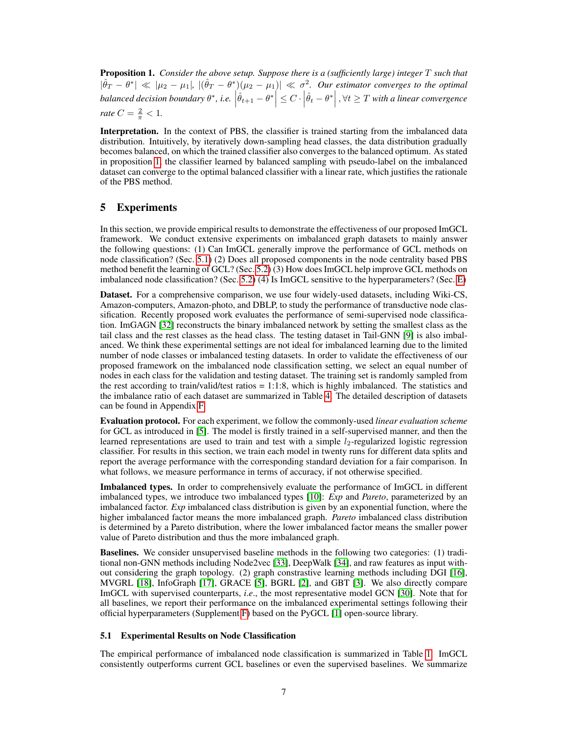<span id="page-6-0"></span>Proposition 1. *Consider the above setup. Suppose there is a (sufficiently large) integer* T *such that*  $|\hat{\theta}_T - \theta^*| \ll |\mu_2 - \mu_1|, |(\hat{\theta}_T - \theta^*)(\mu_2 - \mu_1)| \ll \sigma^2$ . Our estimator converges to the optimal  $\textit{balanced decision boundary } \theta^*, \textit{i.e. } \left| \hat{\theta}_{t+1} - \theta^* \right| \leq C \cdot \left| \hat{\theta}_{t} - \theta^* \right|, \forall t \geq T \textit{ with a linear convergence}$ *rate*  $C = \frac{2}{\pi} < 1$ .

Interpretation. In the context of PBS, the classifier is trained starting from the imbalanced data distribution. Intuitively, by iteratively down-sampling head classes, the data distribution gradually becomes balanced, on which the trained classifier also converges to the balanced optimum. As stated in proposition [1,](#page-6-0) the classifier learned by balanced sampling with pseudo-label on the imbalanced dataset can converge to the optimal balanced classifier with a linear rate, which justifies the rationale of the PBS method.

# <span id="page-6-2"></span>5 Experiments

In this section, we provide empirical results to demonstrate the effectiveness of our proposed ImGCL framework. We conduct extensive experiments on imbalanced graph datasets to mainly answer the following questions: (1) Can ImGCL generally improve the performance of GCL methods on node classification? (Sec. [5.1\)](#page-6-1) (2) Does all proposed components in the node centrality based PBS method benefit the learning of GCL? (Sec. [5.2\)](#page-7-0) (3) How does ImGCL help improve GCL methods on imbalanced node classification? (Sec. [5.2\)](#page-7-0) (4) Is ImGCL sensitive to the hyperparameters? (Sec. [E\)](#page-16-0)

Dataset. For a comprehensive comparison, we use four widely-used datasets, including Wiki-CS, Amazon-computers, Amazon-photo, and DBLP, to study the performance of transductive node classification. Recently proposed work evaluates the performance of semi-supervised node classification. ImGAGN [\[32\]](#page-11-1) reconstructs the binary imbalanced network by setting the smallest class as the tail class and the rest classes as the head class. The testing dataset in Tail-GNN [\[9\]](#page-9-7) is also imbalanced. We think these experimental settings are not ideal for imbalanced learning due to the limited number of node classes or imbalanced testing datasets. In order to validate the effectiveness of our proposed framework on the imbalanced node classification setting, we select an equal number of nodes in each class for the validation and testing dataset. The training set is randomly sampled from the rest according to train/valid/test ratios  $= 1:1:8$ , which is highly imbalanced. The statistics and the imbalance ratio of each dataset are summarized in Table [4.](#page-17-0) The detailed description of datasets can be found in Appendix [F.](#page-16-1)

Evaluation protocol. For each experiment, we follow the commonly-used *linear evaluation scheme* for GCL as introduced in [\[5\]](#page-9-2). The model is firstly trained in a self-supervised manner, and then the learned representations are used to train and test with a simple  $l_2$ -regularized logistic regression classifier. For results in this section, we train each model in twenty runs for different data splits and report the average performance with the corresponding standard deviation for a fair comparison. In what follows, we measure performance in terms of accuracy, if not otherwise specified.

Imbalanced types. In order to comprehensively evaluate the performance of ImGCL in different imbalanced types, we introduce two imbalanced types [\[10\]](#page-9-8): *Exp* and *Pareto*, parameterized by an imbalanced factor. *Exp* imbalanced class distribution is given by an exponential function, where the higher imbalanced factor means the more imbalanced graph. *Pareto* imbalanced class distribution is determined by a Pareto distribution, where the lower imbalanced factor means the smaller power value of Pareto distribution and thus the more imbalanced graph.

Baselines. We consider unsupervised baseline methods in the following two categories: (1) traditional non-GNN methods including Node2vec [\[33\]](#page-11-2), DeepWalk [\[34\]](#page-11-3), and raw features as input without considering the graph topology. (2) graph constrastive learning methods including DGI [\[16\]](#page-10-12), MVGRL [\[18\]](#page-10-13), InfoGraph [\[17\]](#page-10-14), GRACE [\[5\]](#page-9-2), BGRL [\[2\]](#page-9-1), and GBT [\[3\]](#page-9-6). We also directly compare ImGCL with supervised counterparts, *i*.*e*., the most representative model GCN [\[30\]](#page-10-11). Note that for all baselines, we report their performance on the imbalanced experimental settings following their official hyperparameters (Supplement [F\)](#page-16-1) based on the PyGCL [\[1\]](#page-9-0) open-source library.

#### <span id="page-6-1"></span>5.1 Experimental Results on Node Classification

The empirical performance of imbalanced node classification is summarized in Table [1.](#page-7-1) ImGCL consistently outperforms current GCL baselines or even the supervised baselines. We summarize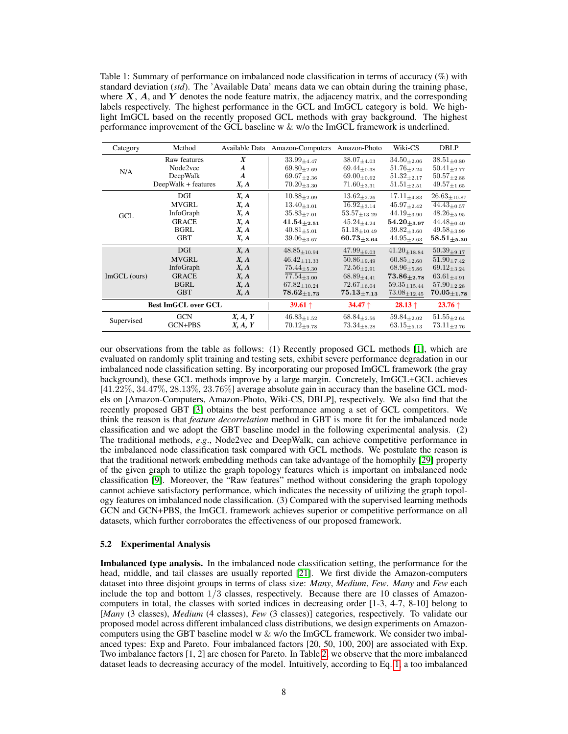<span id="page-7-1"></span>Table 1: Summary of performance on imbalanced node classification in terms of accuracy (%) with standard deviation (*std*). The 'Available Data' means data we can obtain during the training phase, where  $X$ ,  $A$ , and  $Y$  denotes the node feature matrix, the adjacency matrix, and the corresponding labels respectively. The highest performance in the GCL and ImGCL category is bold. We highlight ImGCL based on the recently proposed GCL methods with gray background. The highest performance improvement of the GCL baseline w  $\&$  w/o the ImGCL framework is underlined.

| Category                   | Method              |                  | Available Data Amazon-Computers | Amazon-Photo        | Wiki-CS                | <b>DBLP</b>             |
|----------------------------|---------------------|------------------|---------------------------------|---------------------|------------------------|-------------------------|
| N/A                        | Raw features        | $\boldsymbol{X}$ | $33.99_{+4.47}$                 | $38.07_{+4.03}$     | $34.50_{\pm 2.06}$     | $38.51_{\pm 0.80}$      |
|                            | Node2vec            | $\boldsymbol{A}$ | $69.80_{+2.69}$                 | $69.44_{\pm 0.38}$  | $51.76_{\pm 2.24}$     | $50.41_{\pm 2.77}$      |
|                            | DeepWalk            | $\boldsymbol{A}$ | $69.67_{\pm 2.36}$              | $69.00_{+0.62}$     | $51.32_{+2.17}$        | $50.57_{+2.88}$         |
|                            | DeepWalk + features | X, A             | $70.20_{\pm 3.30}$              | $71.60_{\pm 3.31}$  | $51.51_{+2.51}$        | $49.57_{\pm1.65}$       |
| <b>GCL</b>                 | DGI                 | X, A             | $10.88_{+2.09}$                 | $13.62_{+2.26}$     | $17.11_{+4.83}$        | $26.63_{\pm 10.87}$     |
|                            | MVGRL               | X, A             | $13.40_{\pm 3.01}$              | $16.92_{\pm 3.14}$  | $45.97_{\pm 2.42}$     | $44.43_{\pm 0.57}$      |
|                            | InfoGraph           | X, A             | $35.83_{+7.01}$                 | $53.57_{\pm 13.29}$ | $44.19_{\pm 3.90}$     | $48.26_{\pm 5.95}$      |
|                            | <b>GRACE</b>        | X, A             | $41.54_{+2.51}$                 | $45.24_{+4.24}$     | $54.20_{+3.97}$        | $44.48_{\pm 0.40}$      |
|                            | <b>BGRL</b>         | X, A             | $40.81_{+5.01}$                 | $51.18_{\pm 10.49}$ | $39.82_{+3.60}$        | $49.58_{\pm 3.99}$      |
|                            | <b>GBT</b>          | X, A             | $39.06_{\pm 3.67}$              | $60.73_{\pm 3.64}$  | $44.95_{\pm 2.63}$     | $58.51_{\pm 5.30}$      |
| $Im GCL$ (ours)            | <b>DGI</b>          | X, A             | $48.85_{\pm 10.94}$             | $47.99_{\pm 9.03}$  | $41.20_{+18.84}$       | $50.39_{+9.17}$         |
|                            | <b>MVGRL</b>        | X, A             | $46.42_{\pm 11.33}$             | $50.86_{+9.49}$     | $60.85_{\pm 2.60}$     | $51.90 + 7.42$          |
|                            | InfoGraph           | X, A             | $75.44_{+5.30}$                 | $72.56_{+2.91}$     | $68.96_{+5.86}$        | $69.12_{\pm 3.24}$      |
|                            | <b>GRACE</b>        | X, A             | $77.54_{\pm 3.00}$              | $68.89_{+4.41}$     | $73.86_{+2.78}$        | $63.61_{+4.91}$         |
|                            | <b>BGRL</b>         | X, A             | $67.82_{\pm 10.24}$             | $72.67_{+6.04}$     | $59.35_{\pm 15.44}$    | $57.90_{+2.28}$         |
|                            | <b>GBT</b>          | X, A             | $78.62_{\pm1.73}$               | $75.13_{+7.13}$     | $73.08_{\pm 12.45}$    | $70.05_{+1.78}$         |
| <b>Best ImGCL over GCL</b> |                     |                  | <b>39.61</b> $\uparrow$         | 34.47 $\uparrow$    | <b>28.13</b> $\dagger$ | <b>23.76</b> $\uparrow$ |
| Supervised                 | <b>GCN</b>          | X, A, Y          | $46.83_{+1.52}$                 | $68.84_{+2.56}$     | $59.84_{\pm 2.02}$     | $51.55_{+2.64}$         |
|                            | GCN+PBS             | X, A, Y          | $70.12_{+9.78}$                 | $73.34_{+8.28}$     | $63.15_{\pm 5.13}$     | $73.11_{+2.76}$         |

our observations from the table as follows: (1) Recently proposed GCL methods [\[1\]](#page-9-0), which are evaluated on randomly split training and testing sets, exhibit severe performance degradation in our imbalanced node classification setting. By incorporating our proposed ImGCL framework (the gray background), these GCL methods improve by a large margin. Concretely, ImGCL+GCL achieves  $[41.22\%, 34.47\%, 28.13\%, 23.76\%]$  average absolute gain in accuracy than the baseline GCL models on [Amazon-Computers, Amazon-Photo, Wiki-CS, DBLP], respectively. We also find that the recently proposed GBT [\[3\]](#page-9-6) obtains the best performance among a set of GCL competitors. We think the reason is that *feature decorrelation* method in GBT is more fit for the imbalanced node classification and we adopt the GBT baseline model in the following experimental analysis. (2) The traditional methods, *e*.*g*., Node2vec and DeepWalk, can achieve competitive performance in the imbalanced node classification task compared with GCL methods. We postulate the reason is that the traditional network embedding methods can take advantage of the homophily [\[29\]](#page-10-10) property of the given graph to utilize the graph topology features which is important on imbalanced node classification [\[9\]](#page-9-7). Moreover, the "Raw features" method without considering the graph topology cannot achieve satisfactory performance, which indicates the necessity of utilizing the graph topology features on imbalanced node classification. (3) Compared with the supervised learning methods GCN and GCN+PBS, the ImGCL framework achieves superior or competitive performance on all datasets, which further corroborates the effectiveness of our proposed framework.

#### <span id="page-7-0"></span>5.2 Experimental Analysis

Imbalanced type analysis. In the imbalanced node classification setting, the performance for the head, middle, and tail classes are usually reported [\[21\]](#page-10-3). We first divide the Amazon-computers dataset into three disjoint groups in terms of class size: *Many*, *Medium*, *Few*. *Many* and *Few* each include the top and bottom  $1/3$  classes, respectively. Because there are 10 classes of Amazoncomputers in total, the classes with sorted indices in decreasing order [1-3, 4-7, 8-10] belong to [*Many* (3 classes), *Medium* (4 classes), *Few* (3 classes)] categories, respectively. To validate our proposed model across different imbalanced class distributions, we design experiments on Amazoncomputers using the GBT baseline model w  $&$  w/o the ImGCL framework. We consider two imbalanced types: Exp and Pareto. Four imbalanced factors [20, 50, 100, 200] are associated with Exp. Two imbalance factors [1, 2] are chosen for Pareto. In Table [2,](#page-8-1) we observe that the more imbalanced dataset leads to decreasing accuracy of the model. Intuitively, according to Eq. [1,](#page-5-0) a too imbalanced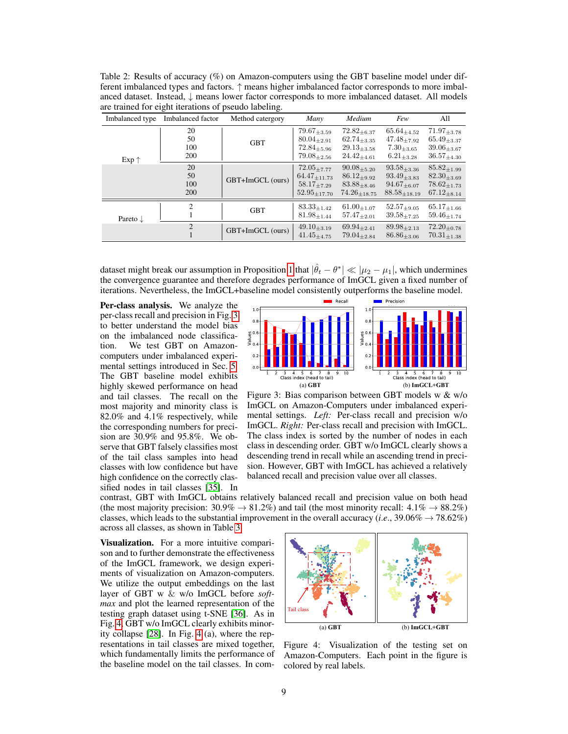<span id="page-8-1"></span>Table 2: Results of accuracy (%) on Amazon-computers using the GBT baseline model under different imbalanced types and factors. ↑ means higher imbalanced factor corresponds to more imbalanced dataset. Instead, ↓ means lower factor corresponds to more imbalanced dataset. All models are trained for eight iterations of pseudo labeling.

| Imbalanced type     | Imbalanced factor      | Method catergory | Many                                                                                | Medium                                                                            | Few                                                                                | All                                                                               |
|---------------------|------------------------|------------------|-------------------------------------------------------------------------------------|-----------------------------------------------------------------------------------|------------------------------------------------------------------------------------|-----------------------------------------------------------------------------------|
| $Exp \uparrow$      | 20<br>50<br>100<br>200 | <b>GBT</b>       | $79.67_{\pm 3.59}$<br>$80.04_{+2.91}$<br>$72.84_{\pm 5.96}$<br>$79.08_{+2.56}$      | $72.82_{\pm 6.37}$<br>$62.74_{+3.35}$<br>$29.13_{\pm 3.58}$<br>$24.42_{\pm 4.61}$ | $65.64_{\pm 4.52}$<br>$47.48_{+7.92}$<br>$7.30_{\pm3.65}$<br>$6.21_{\pm 3.28}$     | $71.97_{\pm 3.78}$<br>$65.49_{\pm 3.37}$<br>$39.06_{+3.67}$<br>$36.57_{\pm 4.30}$ |
|                     | 20<br>50<br>100<br>200 | GBT+ImGCL (ours) | $72.05 + 7.77$<br>$64.47_{\pm 11.73}$<br>$58.17_{\pm{7.29}}$<br>$52.95_{\pm 17.70}$ | $90.08 + 5.20$<br>$86.12_{+9.92}$<br>$83.88_{+8.46}$<br>$74.26_{\pm 18.75}$       | $93.58_{\pm 3.36}$<br>$93.49_{\pm 3.83}$<br>$94.67_{+6.07}$<br>$88.58_{\pm 18.19}$ | $85.82_{+1.99}$<br>$82.30_{\pm 3.69}$<br>$78.62_{+1.73}$<br>$67.12_{\pm 8.14}$    |
| Pareto $\downarrow$ | $\overline{2}$         | <b>GBT</b>       | $83.33_{\pm 1.42}$<br>$81.98_{\pm 1.44}$                                            | $61.00_{\pm 1.07}$<br>$57.47_{\pm 2.01}$                                          | $52.57_{+9.05}$<br>$39.58_{\pm 7.25}$                                              | $65.17_{\pm 1.66}$<br>$59.46_{+1.74}$                                             |
|                     | $\overline{2}$         | GBT+ImGCL (ours) | $49.10_{\pm 3.19}$<br>$41.45_{\pm 4.75}$                                            | $69.94_{\pm 2.41}$<br>$79.04_{\pm 2.84}$                                          | $89.98_{\pm 2.13}$<br>$86.86_{\pm 3.06}$                                           | $72.20_{\pm 0.78}$<br>$70.31_{+1.38}$                                             |

dataset might break our assumption in Proposition [1](#page-6-0) that  $|\hat{\theta}_t - \theta^*| \ll |\mu_2 - \mu_1|$ , which undermines the convergence guarantee and therefore degrades performance of ImGCL given a fixed number of iterations. Nevertheless, the ImGCL+baseline model consistently outperforms the baseline model.

Per-class analysis. We analyze the per-class recall and precision in Fig. [3](#page-8-0) to better understand the model bias on the imbalanced node classification. We test GBT on Amazoncomputers under imbalanced experimental settings introduced in Sec. [5.](#page-6-2) The GBT baseline model exhibits highly skewed performance on head and tail classes. The recall on the most majority and minority class is 82.0% and 4.1% respectively, while the corresponding numbers for precision are 30.9% and 95.8%. We observe that GBT falsely classifies most of the tail class samples into head classes with low confidence but have high confidence on the correctly classified nodes in tail classes [\[35\]](#page-11-4). In



<span id="page-8-0"></span>Figure 3: Bias comparison between GBT models w & w/o ImGCL on Amazon-Computers under imbalanced experimental settings. *Left:* Per-class recall and precision w/o ImGCL. *Right:* Per-class recall and precision with ImGCL. The class index is sorted by the number of nodes in each class in descending order. GBT w/o ImGCL clearly shows a descending trend in recall while an ascending trend in precision. However, GBT with ImGCL has achieved a relatively balanced recall and precision value over all classes.

contrast, GBT with ImGCL obtains relatively balanced recall and precision value on both head (the most majority precision:  $30.9\% \rightarrow 81.2\%$ ) and tail (the most minority recall:  $4.1\% \rightarrow 88.2\%$ ) classes, which leads to the substantial improvement in the overall accuracy (*i.e.*, 39.06%  $\rightarrow$  78.62%) across all classes, as shown in Table [3.](#page-16-2)

Visualization. For a more intuitive comparison and to further demonstrate the effectiveness of the ImGCL framework, we design experiments of visualization on Amazon-computers. We utilize the output embeddings on the last layer of GBT w & w/o ImGCL before *softmax* and plot the learned representation of the testing graph dataset using t-SNE [\[36\]](#page-11-5). As in Fig. [4,](#page-8-2) GBT w/o ImGCL clearly exhibits minority collapse [\[28\]](#page-10-9). In Fig. [4](#page-8-2) (a), where the representations in tail classes are mixed together, which fundamentally limits the performance of the baseline model on the tail classes. In com-



<span id="page-8-2"></span>Figure 4: Visualization of the testing set on Amazon-Computers. Each point in the figure is colored by real labels.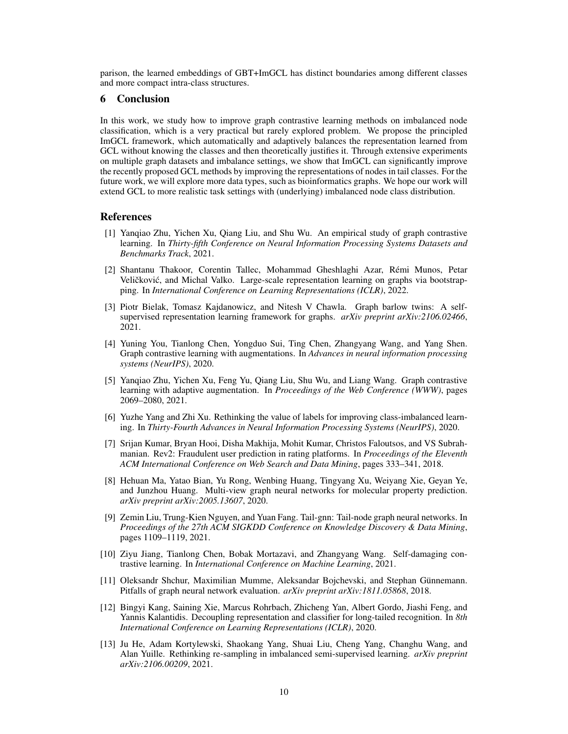parison, the learned embeddings of GBT+ImGCL has distinct boundaries among different classes and more compact intra-class structures.

#### 6 Conclusion

In this work, we study how to improve graph contrastive learning methods on imbalanced node classification, which is a very practical but rarely explored problem. We propose the principled ImGCL framework, which automatically and adaptively balances the representation learned from GCL without knowing the classes and then theoretically justifies it. Through extensive experiments on multiple graph datasets and imbalance settings, we show that ImGCL can significantly improve the recently proposed GCL methods by improving the representations of nodes in tail classes. For the future work, we will explore more data types, such as bioinformatics graphs. We hope our work will extend GCL to more realistic task settings with (underlying) imbalanced node class distribution.

#### References

- <span id="page-9-0"></span>[1] Yanqiao Zhu, Yichen Xu, Qiang Liu, and Shu Wu. An empirical study of graph contrastive learning. In *Thirty-fifth Conference on Neural Information Processing Systems Datasets and Benchmarks Track*, 2021.
- <span id="page-9-1"></span>[2] Shantanu Thakoor, Corentin Tallec, Mohammad Gheshlaghi Azar, Remi Munos, Petar ´ Veličković, and Michal Valko. Large-scale representation learning on graphs via bootstrapping. In *International Conference on Learning Representations (ICLR)*, 2022.
- <span id="page-9-6"></span>[3] Piotr Bielak, Tomasz Kajdanowicz, and Nitesh V Chawla. Graph barlow twins: A selfsupervised representation learning framework for graphs. *arXiv preprint arXiv:2106.02466*, 2021.
- <span id="page-9-12"></span>[4] Yuning You, Tianlong Chen, Yongduo Sui, Ting Chen, Zhangyang Wang, and Yang Shen. Graph contrastive learning with augmentations. In *Advances in neural information processing systems (NeurIPS)*, 2020.
- <span id="page-9-2"></span>[5] Yanqiao Zhu, Yichen Xu, Feng Yu, Qiang Liu, Shu Wu, and Liang Wang. Graph contrastive learning with adaptive augmentation. In *Proceedings of the Web Conference (WWW)*, pages 2069–2080, 2021.
- <span id="page-9-3"></span>[6] Yuzhe Yang and Zhi Xu. Rethinking the value of labels for improving class-imbalanced learning. In *Thirty-Fourth Advances in Neural Information Processing Systems (NeurIPS)*, 2020.
- <span id="page-9-4"></span>[7] Srijan Kumar, Bryan Hooi, Disha Makhija, Mohit Kumar, Christos Faloutsos, and VS Subrahmanian. Rev2: Fraudulent user prediction in rating platforms. In *Proceedings of the Eleventh ACM International Conference on Web Search and Data Mining*, pages 333–341, 2018.
- <span id="page-9-5"></span>[8] Hehuan Ma, Yatao Bian, Yu Rong, Wenbing Huang, Tingyang Xu, Weiyang Xie, Geyan Ye, and Junzhou Huang. Multi-view graph neural networks for molecular property prediction. *arXiv preprint arXiv:2005.13607*, 2020.
- <span id="page-9-7"></span>[9] Zemin Liu, Trung-Kien Nguyen, and Yuan Fang. Tail-gnn: Tail-node graph neural networks. In *Proceedings of the 27th ACM SIGKDD Conference on Knowledge Discovery & Data Mining*, pages 1109–1119, 2021.
- <span id="page-9-8"></span>[10] Ziyu Jiang, Tianlong Chen, Bobak Mortazavi, and Zhangyang Wang. Self-damaging contrastive learning. In *International Conference on Machine Learning*, 2021.
- <span id="page-9-9"></span>[11] Oleksandr Shchur, Maximilian Mumme, Aleksandar Bojchevski, and Stephan Günnemann. Pitfalls of graph neural network evaluation. *arXiv preprint arXiv:1811.05868*, 2018.
- <span id="page-9-10"></span>[12] Bingyi Kang, Saining Xie, Marcus Rohrbach, Zhicheng Yan, Albert Gordo, Jiashi Feng, and Yannis Kalantidis. Decoupling representation and classifier for long-tailed recognition. In *8th International Conference on Learning Representations (ICLR)*, 2020.
- <span id="page-9-11"></span>[13] Ju He, Adam Kortylewski, Shaokang Yang, Shuai Liu, Cheng Yang, Changhu Wang, and Alan Yuille. Rethinking re-sampling in imbalanced semi-supervised learning. *arXiv preprint arXiv:2106.00209*, 2021.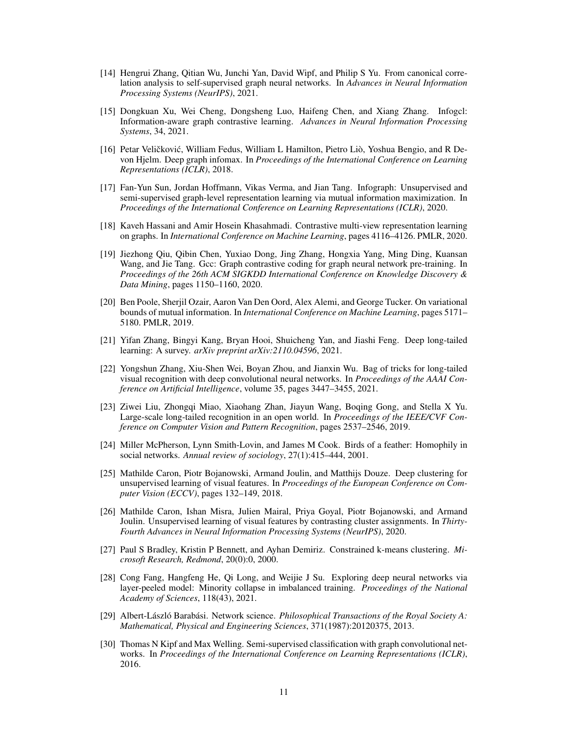- <span id="page-10-0"></span>[14] Hengrui Zhang, Qitian Wu, Junchi Yan, David Wipf, and Philip S Yu. From canonical correlation analysis to self-supervised graph neural networks. In *Advances in Neural Information Processing Systems (NeurIPS)*, 2021.
- [15] Dongkuan Xu, Wei Cheng, Dongsheng Luo, Haifeng Chen, and Xiang Zhang. Infogcl: Information-aware graph contrastive learning. *Advances in Neural Information Processing Systems*, 34, 2021.
- <span id="page-10-12"></span>[16] Petar Veličković, William Fedus, William L Hamilton, Pietro Liò, Yoshua Bengio, and R Devon Hjelm. Deep graph infomax. In *Proceedings of the International Conference on Learning Representations (ICLR)*, 2018.
- <span id="page-10-14"></span>[17] Fan-Yun Sun, Jordan Hoffmann, Vikas Verma, and Jian Tang. Infograph: Unsupervised and semi-supervised graph-level representation learning via mutual information maximization. In *Proceedings of the International Conference on Learning Representations (ICLR)*, 2020.
- <span id="page-10-13"></span>[18] Kaveh Hassani and Amir Hosein Khasahmadi. Contrastive multi-view representation learning on graphs. In *International Conference on Machine Learning*, pages 4116–4126. PMLR, 2020.
- <span id="page-10-1"></span>[19] Jiezhong Qiu, Qibin Chen, Yuxiao Dong, Jing Zhang, Hongxia Yang, Ming Ding, Kuansan Wang, and Jie Tang. Gcc: Graph contrastive coding for graph neural network pre-training. In *Proceedings of the 26th ACM SIGKDD International Conference on Knowledge Discovery & Data Mining*, pages 1150–1160, 2020.
- <span id="page-10-2"></span>[20] Ben Poole, Sherjil Ozair, Aaron Van Den Oord, Alex Alemi, and George Tucker. On variational bounds of mutual information. In *International Conference on Machine Learning*, pages 5171– 5180. PMLR, 2019.
- <span id="page-10-3"></span>[21] Yifan Zhang, Bingyi Kang, Bryan Hooi, Shuicheng Yan, and Jiashi Feng. Deep long-tailed learning: A survey. *arXiv preprint arXiv:2110.04596*, 2021.
- [22] Yongshun Zhang, Xiu-Shen Wei, Boyan Zhou, and Jianxin Wu. Bag of tricks for long-tailed visual recognition with deep convolutional neural networks. In *Proceedings of the AAAI Conference on Artificial Intelligence*, volume 35, pages 3447–3455, 2021.
- <span id="page-10-4"></span>[23] Ziwei Liu, Zhongqi Miao, Xiaohang Zhan, Jiayun Wang, Boqing Gong, and Stella X Yu. Large-scale long-tailed recognition in an open world. In *Proceedings of the IEEE/CVF Conference on Computer Vision and Pattern Recognition*, pages 2537–2546, 2019.
- <span id="page-10-5"></span>[24] Miller McPherson, Lynn Smith-Lovin, and James M Cook. Birds of a feather: Homophily in social networks. *Annual review of sociology*, 27(1):415–444, 2001.
- <span id="page-10-6"></span>[25] Mathilde Caron, Piotr Bojanowski, Armand Joulin, and Matthijs Douze. Deep clustering for unsupervised learning of visual features. In *Proceedings of the European Conference on Computer Vision (ECCV)*, pages 132–149, 2018.
- <span id="page-10-7"></span>[26] Mathilde Caron, Ishan Misra, Julien Mairal, Priya Goyal, Piotr Bojanowski, and Armand Joulin. Unsupervised learning of visual features by contrasting cluster assignments. In *Thirty-Fourth Advances in Neural Information Processing Systems (NeurIPS)*, 2020.
- <span id="page-10-8"></span>[27] Paul S Bradley, Kristin P Bennett, and Ayhan Demiriz. Constrained k-means clustering. *Microsoft Research, Redmond*, 20(0):0, 2000.
- <span id="page-10-9"></span>[28] Cong Fang, Hangfeng He, Qi Long, and Weijie J Su. Exploring deep neural networks via layer-peeled model: Minority collapse in imbalanced training. *Proceedings of the National Academy of Sciences*, 118(43), 2021.
- <span id="page-10-10"></span>[29] Albert-László Barabási. Network science. *Philosophical Transactions of the Royal Society A: Mathematical, Physical and Engineering Sciences*, 371(1987):20120375, 2013.
- <span id="page-10-11"></span>[30] Thomas N Kipf and Max Welling. Semi-supervised classification with graph convolutional networks. In *Proceedings of the International Conference on Learning Representations (ICLR)*, 2016.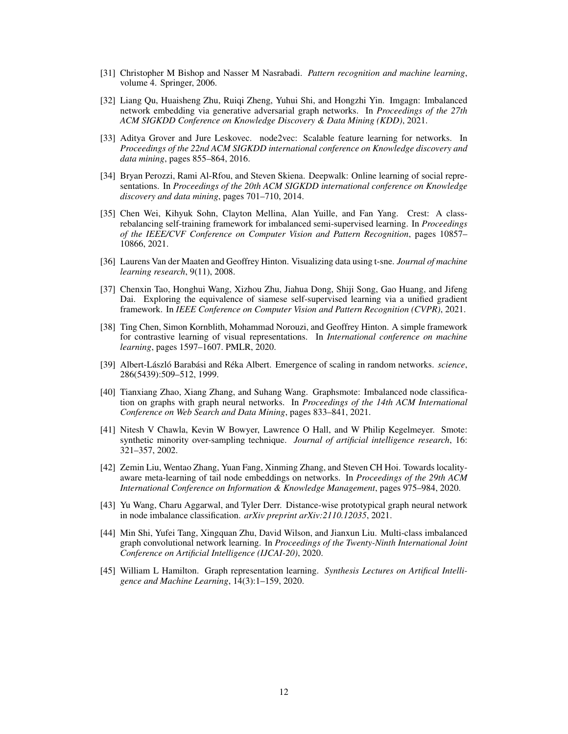- <span id="page-11-0"></span>[31] Christopher M Bishop and Nasser M Nasrabadi. *Pattern recognition and machine learning*, volume 4. Springer, 2006.
- <span id="page-11-1"></span>[32] Liang Qu, Huaisheng Zhu, Ruiqi Zheng, Yuhui Shi, and Hongzhi Yin. Imgagn: Imbalanced network embedding via generative adversarial graph networks. In *Proceedings of the 27th ACM SIGKDD Conference on Knowledge Discovery & Data Mining (KDD)*, 2021.
- <span id="page-11-2"></span>[33] Aditya Grover and Jure Leskovec. node2vec: Scalable feature learning for networks. In *Proceedings of the 22nd ACM SIGKDD international conference on Knowledge discovery and data mining*, pages 855–864, 2016.
- <span id="page-11-3"></span>[34] Bryan Perozzi, Rami Al-Rfou, and Steven Skiena. Deepwalk: Online learning of social representations. In *Proceedings of the 20th ACM SIGKDD international conference on Knowledge discovery and data mining*, pages 701–710, 2014.
- <span id="page-11-4"></span>[35] Chen Wei, Kihyuk Sohn, Clayton Mellina, Alan Yuille, and Fan Yang. Crest: A classrebalancing self-training framework for imbalanced semi-supervised learning. In *Proceedings of the IEEE/CVF Conference on Computer Vision and Pattern Recognition*, pages 10857– 10866, 2021.
- <span id="page-11-5"></span>[36] Laurens Van der Maaten and Geoffrey Hinton. Visualizing data using t-sne. *Journal of machine learning research*, 9(11), 2008.
- <span id="page-11-6"></span>[37] Chenxin Tao, Honghui Wang, Xizhou Zhu, Jiahua Dong, Shiji Song, Gao Huang, and Jifeng Dai. Exploring the equivalence of siamese self-supervised learning via a unified gradient framework. In *IEEE Conference on Computer Vision and Pattern Recognition (CVPR)*, 2021.
- <span id="page-11-7"></span>[38] Ting Chen, Simon Kornblith, Mohammad Norouzi, and Geoffrey Hinton. A simple framework for contrastive learning of visual representations. In *International conference on machine learning*, pages 1597–1607. PMLR, 2020.
- <span id="page-11-8"></span>[39] Albert-László Barabási and Réka Albert. Emergence of scaling in random networks. *science*, 286(5439):509–512, 1999.
- <span id="page-11-9"></span>[40] Tianxiang Zhao, Xiang Zhang, and Suhang Wang. Graphsmote: Imbalanced node classification on graphs with graph neural networks. In *Proceedings of the 14th ACM International Conference on Web Search and Data Mining*, pages 833–841, 2021.
- <span id="page-11-10"></span>[41] Nitesh V Chawla, Kevin W Bowyer, Lawrence O Hall, and W Philip Kegelmeyer. Smote: synthetic minority over-sampling technique. *Journal of artificial intelligence research*, 16: 321–357, 2002.
- <span id="page-11-11"></span>[42] Zemin Liu, Wentao Zhang, Yuan Fang, Xinming Zhang, and Steven CH Hoi. Towards localityaware meta-learning of tail node embeddings on networks. In *Proceedings of the 29th ACM International Conference on Information & Knowledge Management*, pages 975–984, 2020.
- <span id="page-11-13"></span>[43] Yu Wang, Charu Aggarwal, and Tyler Derr. Distance-wise prototypical graph neural network in node imbalance classification. *arXiv preprint arXiv:2110.12035*, 2021.
- <span id="page-11-12"></span>[44] Min Shi, Yufei Tang, Xingquan Zhu, David Wilson, and Jianxun Liu. Multi-class imbalanced graph convolutional network learning. In *Proceedings of the Twenty-Ninth International Joint Conference on Artificial Intelligence (IJCAI-20)*, 2020.
- <span id="page-11-14"></span>[45] William L Hamilton. Graph representation learning. *Synthesis Lectures on Artifical Intelligence and Machine Learning*, 14(3):1–159, 2020.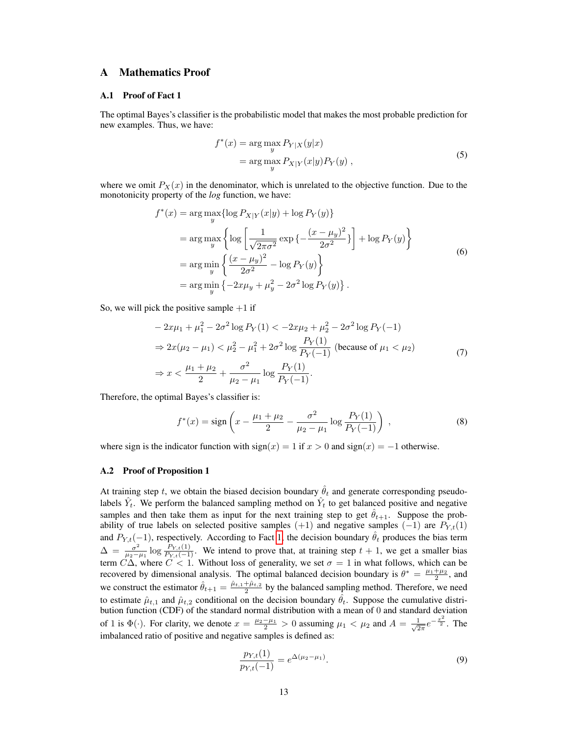# <span id="page-12-0"></span>A Mathematics Proof

## A.1 Proof of Fact 1

The optimal Bayes's classifier is the probabilistic model that makes the most probable prediction for new examples. Thus, we have:

$$
f^*(x) = \underset{y}{\text{arg max}} P_{Y|X}(y|x)
$$
  
= 
$$
\underset{y}{\text{arg max}} P_{X|Y}(x|y) P_Y(y) ,
$$
 (5)

where we omit  $P_X(x)$  in the denominator, which is unrelated to the objective function. Due to the monotonicity property of the *log* function, we have:

$$
f^*(x) = \arg \max_{y} \{ \log P_{X|Y}(x|y) + \log P_Y(y) \}
$$
  
=  $\arg \max_{y} \{ \log \left[ \frac{1}{\sqrt{2\pi\sigma^2}} \exp \{-\frac{(x - \mu_y)^2}{2\sigma^2}\} \right] + \log P_Y(y) \}$   
=  $\arg \min_{y} \{ \frac{(x - \mu_y)^2}{2\sigma^2} - \log P_Y(y) \}$   
=  $\arg \min_{y} \{-2x\mu_y + \mu_y^2 - 2\sigma^2 \log P_Y(y) \}.$  (6)

So, we will pick the positive sample  $+1$  if

$$
-2x\mu_1 + \mu_1^2 - 2\sigma^2 \log P_Y(1) < -2x\mu_2 + \mu_2^2 - 2\sigma^2 \log P_Y(-1)
$$
\n
$$
\Rightarrow 2x(\mu_2 - \mu_1) < \mu_2^2 - \mu_1^2 + 2\sigma^2 \log \frac{P_Y(1)}{P_Y(-1)} \text{ (because of } \mu_1 < \mu_2)
$$
\n
$$
\Rightarrow x < \frac{\mu_1 + \mu_2}{2} + \frac{\sigma^2}{\mu_2 - \mu_1} \log \frac{P_Y(1)}{P_Y(-1)}.
$$
\n
$$
(7)
$$

Therefore, the optimal Bayes's classifier is:

$$
f^*(x) = \text{sign}\left(x - \frac{\mu_1 + \mu_2}{2} - \frac{\sigma^2}{\mu_2 - \mu_1} \log \frac{P_Y(1)}{P_Y(-1)}\right) ,\tag{8}
$$

where sign is the indicator function with  $sign(x) = 1$  if  $x > 0$  and  $sign(x) = -1$  otherwise.

#### A.2 Proof of Proposition 1

At training step t, we obtain the biased decision boundary  $\hat{\theta}_t$  and generate corresponding pseudolabels  $\hat{Y}_t$ . We perform the balanced sampling method on  $\hat{Y}_t$  to get balanced positive and negative samples and then take them as input for the next training step to get  $\hat{\theta}_{t+1}$ . Suppose the probability of true labels on selected positive samples (+1) and negative samples (-1) are  $P_{Y,t}(1)$ and  $P_{Y,t}(-1)$ , respectively. According to Fact [1,](#page-5-0) the decision boundary  $\hat{\theta}_t$  produces the bias term  $\Delta = \frac{\sigma^2}{\mu}$  $\frac{\sigma^2}{\mu_2-\mu_1}$  log  $\frac{P_{Y,t}(1)}{P_{Y,t}(-1)}$ . We intend to prove that, at training step  $t+1$ , we get a smaller bias term  $C\Delta$ , where  $C < 1$ . Without loss of generality, we set  $\sigma = 1$  in what follows, which can be recovered by dimensional analysis. The optimal balanced decision boundary is  $\theta^* = \frac{\mu_1 + \mu_2}{2}$ , and we construct the estimator  $\hat{\theta}_{t+1} = \frac{\hat{\mu}_{t+1} + \hat{\mu}_{t+2}}{2}$  by the balanced sampling method. Therefore, we need to estimate  $\hat{\mu}_{t,1}$  and  $\hat{\mu}_{t,2}$  conditional on the decision boundary  $\hat{\theta}_t$ . Suppose the cumulative distribution function (CDF) of the standard normal distribution with a mean of 0 and standard deviation of 1 is  $\Phi(\cdot)$ . For clarity, we denote  $x = \frac{\mu_2 - \mu_1}{2} > 0$  assuming  $\mu_1 < \mu_2$  and  $A = \frac{1}{\sqrt{2}}$  $\frac{1}{2\pi}e^{-\frac{x^2}{2}}$ . The imbalanced ratio of positive and negative samples is defined as:

<span id="page-12-1"></span>
$$
\frac{p_{Y,t}(1)}{p_{Y,t}(-1)} = e^{\Delta(\mu_2 - \mu_1)}.
$$
\n(9)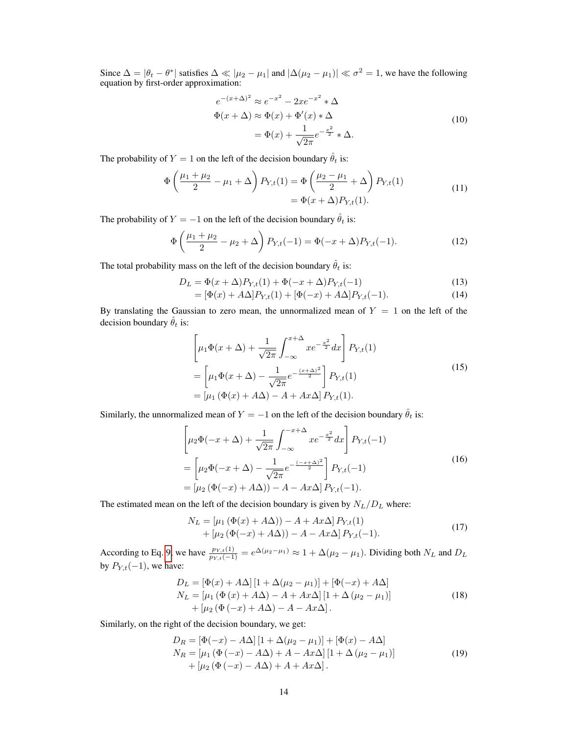Since  $\Delta = |\theta_t - \theta^*|$  satisfies  $\Delta \ll |\mu_2 - \mu_1|$  and  $|\Delta(\mu_2 - \mu_1)| \ll \sigma^2 = 1$ , we have the following equation by first-order approximation:

$$
e^{-(x+\Delta)^2} \approx e^{-x^2} - 2xe^{-x^2} * \Delta
$$
  
\n
$$
\Phi(x+\Delta) \approx \Phi(x) + \Phi'(x) * \Delta
$$
  
\n
$$
= \Phi(x) + \frac{1}{\sqrt{2\pi}}e^{-\frac{x^2}{2}} * \Delta.
$$
\n(10)

The probability of  $Y = 1$  on the left of the decision boundary  $\hat{\theta}_t$  is:

$$
\Phi\left(\frac{\mu_1 + \mu_2}{2} - \mu_1 + \Delta\right) P_{Y,t}(1) = \Phi\left(\frac{\mu_2 - \mu_1}{2} + \Delta\right) P_{Y,t}(1) \n= \Phi(x + \Delta) P_{Y,t}(1).
$$
\n(11)

The probability of  $Y = -1$  on the left of the decision boundary  $\hat{\theta}_t$  is:

$$
\Phi\left(\frac{\mu_1 + \mu_2}{2} - \mu_2 + \Delta\right) P_{Y,t}(-1) = \Phi(-x + \Delta) P_{Y,t}(-1). \tag{12}
$$

The total probability mass on the left of the decision boundary  $\hat{\theta}_t$  is:

$$
D_L = \Phi(x + \Delta) P_{Y,t}(1) + \Phi(-x + \Delta) P_{Y,t}(-1)
$$
\n(13)

$$
= [\Phi(x) + A\Delta]P_{Y,t}(1) + [\Phi(-x) + A\Delta]P_{Y,t}(-1).
$$
\n(14)

By translating the Gaussian to zero mean, the unnormalized mean of  $Y = 1$  on the left of the decision boundary  $\hat{\theta}_t$  is:

$$
\left[\mu_1 \Phi(x + \Delta) + \frac{1}{\sqrt{2\pi}} \int_{-\infty}^{x + \Delta} x e^{-\frac{x^2}{2}} dx\right] P_{Y,t}(1)
$$
  
= 
$$
\left[\mu_1 \Phi(x + \Delta) - \frac{1}{\sqrt{2\pi}} e^{-\frac{(x + \Delta)^2}{2}}\right] P_{Y,t}(1)
$$
  
= 
$$
\left[\mu_1 (\Phi(x) + A\Delta) - A + Ax\Delta\right] P_{Y,t}(1).
$$
 (15)

Similarly, the unnormalized mean of  $Y = -1$  on the left of the decision boundary  $\hat{\theta}_t$  is:

$$
\left[\mu_2 \Phi(-x + \Delta) + \frac{1}{\sqrt{2\pi}} \int_{-\infty}^{-x + \Delta} x e^{-\frac{x^2}{2}} dx\right] P_{Y,t}(-1)
$$
  
= 
$$
\left[\mu_2 \Phi(-x + \Delta) - \frac{1}{\sqrt{2\pi}} e^{-\frac{(-x + \Delta)^2}{2}}\right] P_{Y,t}(-1)
$$
  
= 
$$
\left[\mu_2 (\Phi(-x) + A\Delta)) - A - Ax\Delta\right] P_{Y,t}(-1).
$$
 (16)

The estimated mean on the left of the decision boundary is given by  $N_L/D_L$  where:

$$
N_L = [\mu_1 (\Phi(x) + A\Delta)) - A + Ax\Delta] P_{Y,t}(1)
$$
  
+  $[\mu_2 (\Phi(-x) + A\Delta)) - A - Ax\Delta] P_{Y,t}(-1).$  (17)

According to Eq. [9,](#page-12-1) we have  $\frac{p_{Y,t}(1)}{p_{Y,t}(-1)} = e^{\Delta(\mu_2 - \mu_1)} \approx 1 + \Delta(\mu_2 - \mu_1)$ . Dividing both  $N_L$  and  $D_L$ by  $P_{Y,t}(-1)$ , we have:

<span id="page-13-0"></span>
$$
D_L = [\Phi(x) + A\Delta] [1 + \Delta(\mu_2 - \mu_1)] + [\Phi(-x) + A\Delta]
$$
  
\n
$$
N_L = [\mu_1 (\Phi(x) + A\Delta) - A + Ax\Delta] [1 + \Delta(\mu_2 - \mu_1)]
$$
  
\n
$$
+ [\mu_2 (\Phi(-x) + A\Delta) - A - Ax\Delta].
$$
\n(18)

Similarly, on the right of the decision boundary, we get:

<span id="page-13-1"></span>
$$
D_R = [\Phi(-x) - A\Delta] [1 + \Delta(\mu_2 - \mu_1)] + [\Phi(x) - A\Delta]
$$
  
\n
$$
N_R = [\mu_1 (\Phi(-x) - A\Delta) + A - Ax\Delta] [1 + \Delta(\mu_2 - \mu_1)]
$$
  
\n
$$
+ [\mu_2 (\Phi(-x) - A\Delta) + A + Ax\Delta].
$$
\n(19)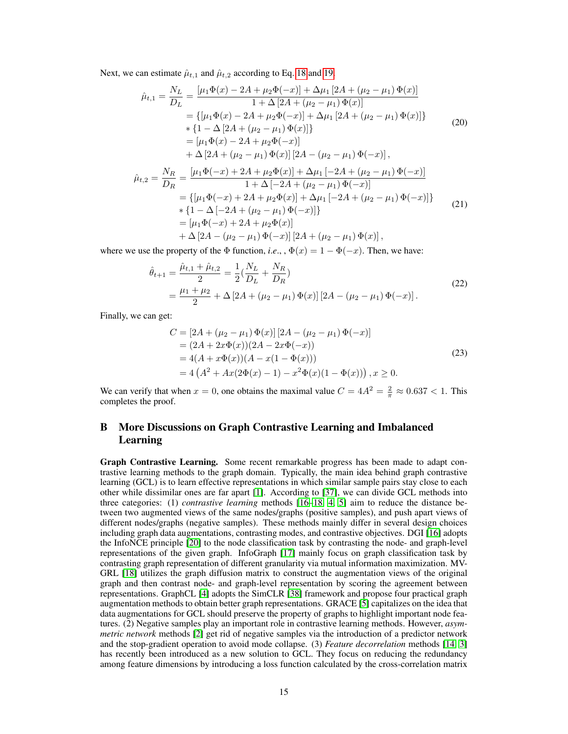Next, we can estimate  $\hat{\mu}_{t,1}$  and  $\hat{\mu}_{t,2}$  according to Eq. [18](#page-13-0) and [19.](#page-13-1)

$$
\hat{\mu}_{t,1} = \frac{N_L}{D_L} = \frac{[\mu_1 \Phi(x) - 2A + \mu_2 \Phi(-x)] + \Delta \mu_1 [2A + (\mu_2 - \mu_1) \Phi(x)]}{1 + \Delta [2A + (\mu_2 - \mu_1) \Phi(x)]}
$$
\n
$$
= \{[\mu_1 \Phi(x) - 2A + \mu_2 \Phi(-x)] + \Delta \mu_1 [2A + (\mu_2 - \mu_1) \Phi(x)]\}
$$
\n
$$
* \{1 - \Delta [2A + (\mu_2 - \mu_1) \Phi(x)]\}
$$
\n
$$
= [\mu_1 \Phi(x) - 2A + \mu_2 \Phi(-x)]
$$
\n
$$
+ \Delta [2A + (\mu_2 - \mu_1) \Phi(x)] [2A - (\mu_2 - \mu_1) \Phi(-x)],
$$
\n
$$
\hat{\mu}_{t,2} = \frac{N_R}{D_R} = \frac{[\mu_1 \Phi(-x) + 2A + \mu_2 \Phi(x)] + \Delta \mu_1 [-2A + (\mu_2 - \mu_1) \Phi(-x)]}{1 + \Delta [-2A + (\mu_2 - \mu_1) \Phi(-x)]}
$$
\n
$$
= \{[\mu_1 \Phi(-x) + 2A + \mu_2 \Phi(x)] + \Delta \mu_1 [-2A + (\mu_2 - \mu_1) \Phi(-x)]\}
$$
\n
$$
* \{1 - \Delta [-2A + (\mu_2 - \mu_1) \Phi(-x)]\}
$$
\n
$$
= [\mu_1 \Phi(-x) + 2A + \mu_2 \Phi(x)]
$$
\n
$$
+ \Delta [2A - (\mu_2 - \mu_1) \Phi(-x)] [2A + (\mu_2 - \mu_1) \Phi(x)],
$$
\n(21)

where we use the property of the  $\Phi$  function, *i.e.*, ,  $\Phi(x) = 1 - \Phi(-x)$ . Then, we have:

$$
\hat{\theta}_{t+1} = \frac{\hat{\mu}_{t,1} + \hat{\mu}_{t,2}}{2} = \frac{1}{2} (\frac{N_L}{D_L} + \frac{N_R}{D_R})
$$
\n
$$
= \frac{\mu_1 + \mu_2}{2} + \Delta \left[ 2A + (\mu_2 - \mu_1) \Phi(x) \right] \left[ 2A - (\mu_2 - \mu_1) \Phi(-x) \right].
$$
\n(22)

Finally, we can get:

$$
C = [2A + (\mu_2 - \mu_1) \Phi(x)] [2A - (\mu_2 - \mu_1) \Phi(-x)]
$$
  
= (2A + 2x\Phi(x))(2A - 2x\Phi(-x))  
= 4(A + x\Phi(x))(A - x(1 - \Phi(x)))  
= 4 (A<sup>2</sup> + Ax(2\Phi(x) - 1) - x<sup>2</sup>\Phi(x)(1 - \Phi(x))) , x \ge 0. (23)

We can verify that when  $x = 0$ , one obtains the maximal value  $C = 4A^2 = \frac{2}{\pi} \approx 0.637 < 1$ . This completes the proof.

# B More Discussions on Graph Contrastive Learning and Imbalanced Learning

Graph Contrastive Learning. Some recent remarkable progress has been made to adapt contrastive learning methods to the graph domain. Typically, the main idea behind graph contrastive learning (GCL) is to learn effective representations in which similar sample pairs stay close to each other while dissimilar ones are far apart [\[1\]](#page-9-0). According to [\[37\]](#page-11-6), we can divide GCL methods into three categories: (1) *contrastive learning* methods [\[16–](#page-10-12)[18,](#page-10-13) [4,](#page-9-12) [5\]](#page-9-2) aim to reduce the distance between two augmented views of the same nodes/graphs (positive samples), and push apart views of different nodes/graphs (negative samples). These methods mainly differ in several design choices including graph data augmentations, contrasting modes, and contrastive objectives. DGI [\[16\]](#page-10-12) adopts the InfoNCE principle [\[20\]](#page-10-2) to the node classification task by contrasting the node- and graph-level representations of the given graph. InfoGraph [\[17\]](#page-10-14) mainly focus on graph classification task by contrasting graph representation of different granularity via mutual information maximization. MV-GRL [\[18\]](#page-10-13) utilizes the graph diffusion matrix to construct the augmentation views of the original graph and then contrast node- and graph-level representation by scoring the agreement between representations. GraphCL [\[4\]](#page-9-12) adopts the SimCLR [\[38\]](#page-11-7) framework and propose four practical graph augmentation methods to obtain better graph representations. GRACE [\[5\]](#page-9-2) capitalizes on the idea that data augmentations for GCL should preserve the property of graphs to highlight important node features. (2) Negative samples play an important role in contrastive learning methods. However, *asymmetric network* methods [\[2\]](#page-9-1) get rid of negative samples via the introduction of a predictor network and the stop-gradient operation to avoid mode collapse. (3) *Feature decorrelation* methods [\[14,](#page-10-0) [3\]](#page-9-6) has recently been introduced as a new solution to GCL. They focus on reducing the redundancy among feature dimensions by introducing a loss function calculated by the cross-correlation matrix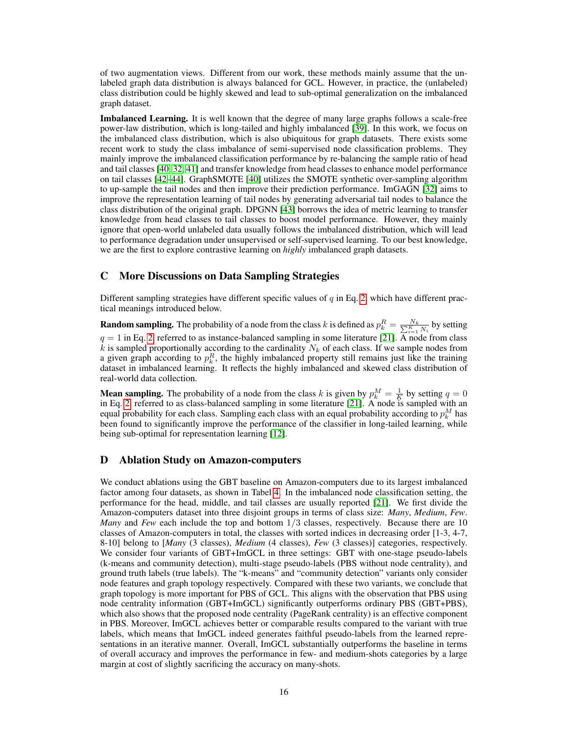of two augmentation views. Different from our work, these methods mainly assume that the unlabeled graph data distribution is always balanced for GCL. However, in practice, the (unlabeled) class distribution could be highly skewed and lead to sub-optimal generalization on the imbalanced graph dataset.

Imbalanced Learning. It is well known that the degree of many large graphs follows a scale-free power-law distribution, which is long-tailed and highly imbalanced [\[39\]](#page-11-8). In this work, we focus on the imbalanced class distribution, which is also ubiquitous for graph datasets. There exists some recent work to study the class imbalance of semi-supervised node classification problems. They mainly improve the imbalanced classification performance by re-balancing the sample ratio of head and tail classes [\[40,](#page-11-9) [32,](#page-11-1) [41\]](#page-11-10) and transfer knowledge from head classes to enhance model performance on tail classes [\[42–](#page-11-11)[44\]](#page-11-12). GraphSMOTE [\[40\]](#page-11-9) utilizes the SMOTE synthetic over-sampling algorithm to up-sample the tail nodes and then improve their prediction performance. ImGAGN [\[32\]](#page-11-1) aims to improve the representation learning of tail nodes by generating adversarial tail nodes to balance the class distribution of the original graph. DPGNN [\[43\]](#page-11-13) borrows the idea of metric learning to transfer knowledge from head classes to tail classes to boost model performance. However, they mainly ignore that open-world unlabeled data usually follows the imbalanced distribution, which will lead to performance degradation under unsupervised or self-supervised learning. To our best knowledge, we are the first to explore contrastive learning on *highly* imbalanced graph datasets.

## C More Discussions on Data Sampling Strategies

Different sampling strategies have different specific values of  $q$  in Eq. [2,](#page-3-0) which have different practical meanings introduced below.

**Random sampling.** The probability of a node from the class k is defined as  $p_k^R = \frac{N_k}{\sum_{i=1}^K N_i}$  by setting  $q = 1$  in Eq. [2,](#page-3-0) referred to as instance-balanced sampling in some literature [\[21\]](#page-10-3). A node from class  $k$  is sampled proportionally according to the cardinality  $N_k$  of each class. If we sample nodes from a given graph according to  $p_k^R$ , the highly imbalanced property still remains just like the training dataset in imbalanced learning. It reflects the highly imbalanced and skewed class distribution of real-world data collection.

**Mean sampling.** The probability of a node from the class k is given by  $p_k^M = \frac{1}{K}$  by setting  $q = 0$ in Eq. [2,](#page-3-0) referred to as class-balanced sampling in some literature [\[21\]](#page-10-3). A node is sampled with an equal probability for each class. Sampling each class with an equal probability according to  $p_k^M$  has been found to significantly improve the performance of the classifier in long-tailed learning, while being sub-optimal for representation learning [\[12\]](#page-9-10).

# D Ablation Study on Amazon-computers

We conduct ablations using the GBT baseline on Amazon-computers due to its largest imbalanced factor among four datasets, as shown in Tabel [4.](#page-17-0) In the imbalanced node classification setting, the performance for the head, middle, and tail classes are usually reported [\[21\]](#page-10-3). We first divide the Amazon-computers dataset into three disjoint groups in terms of class size: *Many*, *Medium*, *Few*. *Many* and *Few* each include the top and bottom 1/3 classes, respectively. Because there are 10 classes of Amazon-computers in total, the classes with sorted indices in decreasing order [1-3, 4-7, 8-10] belong to [*Many* (3 classes), *Medium* (4 classes), *Few* (3 classes)] categories, respectively. We consider four variants of GBT+ImGCL in three settings: GBT with one-stage pseudo-labels (k-means and community detection), multi-stage pseudo-labels (PBS without node centrality), and ground truth labels (true labels). The "k-means" and "community detection" variants only consider node features and graph topology respectively. Compared with these two variants, we conclude that graph topology is more important for PBS of GCL. This aligns with the observation that PBS using node centrality information (GBT+ImGCL) significantly outperforms ordinary PBS (GBT+PBS), which also shows that the proposed node centrality (PageRank centrality) is an effective component in PBS. Moreover, ImGCL achieves better or comparable results compared to the variant with true labels, which means that ImGCL indeed generates faithful pseudo-labels from the learned representations in an iterative manner. Overall, ImGCL substantially outperforms the baseline in terms of overall accuracy and improves the performance in few- and medium-shots categories by a large margin at cost of slightly sacrificing the accuracy on many-shots.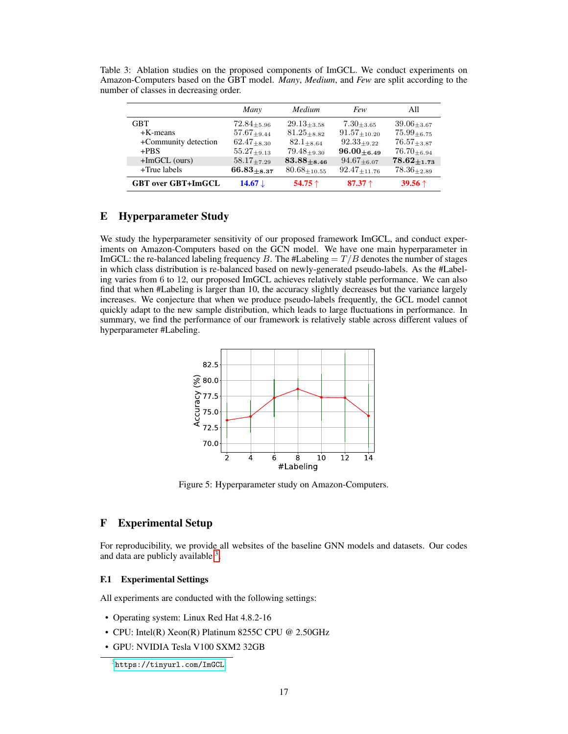<span id="page-16-2"></span>Table 3: Ablation studies on the proposed components of ImGCL. We conduct experiments on Amazon-Computers based on the GBT model. *Many*, *Medium*, and *Few* are split according to the number of classes in decreasing order.

|                           | Many               | Medium              | Few                 | All                |
|---------------------------|--------------------|---------------------|---------------------|--------------------|
| GBT                       | $72.84_{+5.96}$    | $29.13_{+3.58}$     | $7.30_{+3.65}$      | $39.06_{+3.67}$    |
| $+K$ -means               | $57.67_{+9.44}$    | $81.25_{+8.82}$     | $91.57_{+10.20}$    | $75.99_{+6.75}$    |
| +Community detection      | $62.47_{+8.30}$    | $82.1 + 8.64$       | $92.33_{+9.22}$     | $76.57_{+3.87}$    |
| $+PBS$                    | $55.27_{+9.13}$    | $79.48_{+9.30}$     | $96.00_{+6.49}$     | $76.70_{+6.94}$    |
| $+ImGCL$ (ours)           | $58.17_{+7.29}$    | $83.88 + 8.46$      | $94.67_{+6.07}$     | $78.62_{\pm 1.73}$ |
| +True labels              | $66.83_{+8.37}$    | $80.68_{\pm 10.55}$ | $92.47_{\pm 11.76}$ | $78.36_{\pm 2.89}$ |
| <b>GBT</b> over GBT+ImGCL | 14.67 $\downarrow$ | 54.75 $\uparrow$    | 87.37 $\dagger$     | 39.56 $\uparrow$   |

# <span id="page-16-0"></span>E Hyperparameter Study

We study the hyperparameter sensitivity of our proposed framework ImGCL, and conduct experiments on Amazon-Computers based on the GCN model. We have one main hyperparameter in ImGCL: the re-balanced labeling frequency B. The #Labeling  $=T/B$  denotes the number of stages in which class distribution is re-balanced based on newly-generated pseudo-labels. As the #Labeling varies from 6 to 12, our proposed ImGCL achieves relatively stable performance. We can also find that when #Labeling is larger than 10, the accuracy slightly decreases but the variance largely increases. We conjecture that when we produce pseudo-labels frequently, the GCL model cannot quickly adapt to the new sample distribution, which leads to large fluctuations in performance. In summary, we find the performance of our framework is relatively stable across different values of hyperparameter #Labeling.



Figure 5: Hyperparameter study on Amazon-Computers.

# <span id="page-16-1"></span>F Experimental Setup

For reproducibility, we provide all websites of the baseline GNN models and datasets. Our codes and data are publicly available <sup>[3](#page-0-0)</sup>.

#### F.1 Experimental Settings

All experiments are conducted with the following settings:

- Operating system: Linux Red Hat 4.8.2-16
- CPU: Intel(R) Xeon(R) Platinum 8255C CPU @ 2.50GHz
- GPU: NVIDIA Tesla V100 SXM2 32GB

<sup>3</sup> <https://tinyurl.com/ImGCL>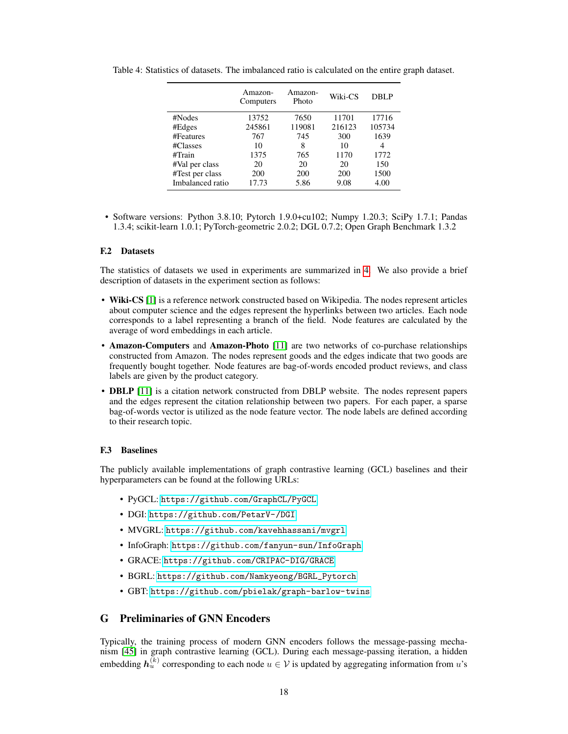<span id="page-17-0"></span>

|                  | Amazon-<br>Computers | Amazon-<br>Photo | Wiki-CS | DBLP   |
|------------------|----------------------|------------------|---------|--------|
| #Nodes           | 13752                | 7650             | 11701   | 17716  |
| #Edges           | 245861               | 119081           | 216123  | 105734 |
| #Features        | 767                  | 745              | 300     | 1639   |
| #Classes         | 10                   | 8                | 10      | 4      |
| #Train           | 1375                 | 765              | 1170    | 1772   |
| #Val per class   | 20                   | 20               | 20      | 150    |
| #Test per class  | 200                  | 200              | 200     | 1500   |
| Imbalanced ratio | 17.73                | 5.86             | 9.08    | 4.00   |

Table 4: Statistics of datasets. The imbalanced ratio is calculated on the entire graph dataset.

• Software versions: Python 3.8.10; Pytorch 1.9.0+cu102; Numpy 1.20.3; SciPy 1.7.1; Pandas 1.3.4; scikit-learn 1.0.1; PyTorch-geometric 2.0.2; DGL 0.7.2; Open Graph Benchmark 1.3.2

#### F.2 Datasets

The statistics of datasets we used in experiments are summarized in [4.](#page-17-0) We also provide a brief description of datasets in the experiment section as follows:

- Wiki-CS [\[1\]](#page-9-0) is a reference network constructed based on Wikipedia. The nodes represent articles about computer science and the edges represent the hyperlinks between two articles. Each node corresponds to a label representing a branch of the field. Node features are calculated by the average of word embeddings in each article.
- Amazon-Computers and Amazon-Photo [\[11\]](#page-9-9) are two networks of co-purchase relationships constructed from Amazon. The nodes represent goods and the edges indicate that two goods are frequently bought together. Node features are bag-of-words encoded product reviews, and class labels are given by the product category.
- **DBLP** [\[11\]](#page-9-9) is a citation network constructed from DBLP website. The nodes represent papers and the edges represent the citation relationship between two papers. For each paper, a sparse bag-of-words vector is utilized as the node feature vector. The node labels are defined according to their research topic.

#### F.3 Baselines

The publicly available implementations of graph contrastive learning (GCL) baselines and their hyperparameters can be found at the following URLs:

- PyGCL: <https://github.com/GraphCL/PyGCL>
- DGI: <https://github.com/PetarV-/DGI>
- MVGRL: <https://github.com/kavehhassani/mvgrl>
- InfoGraph: <https://github.com/fanyun-sun/InfoGraph>
- GRACE: <https://github.com/CRIPAC-DIG/GRACE>
- BGRL: [https://github.com/Namkyeong/BGRL\\_Pytorch](https://github.com/Namkyeong/BGRL_Pytorch)
- GBT: <https://github.com/pbielak/graph-barlow-twins>

# G Preliminaries of GNN Encoders

Typically, the training process of modern GNN encoders follows the message-passing mechanism [\[45\]](#page-11-14) in graph contrastive learning (GCL). During each message-passing iteration, a hidden embedding  $h_u^{(k)}$  corresponding to each node  $u \in \mathcal{V}$  is updated by aggregating information from  $u$ 's